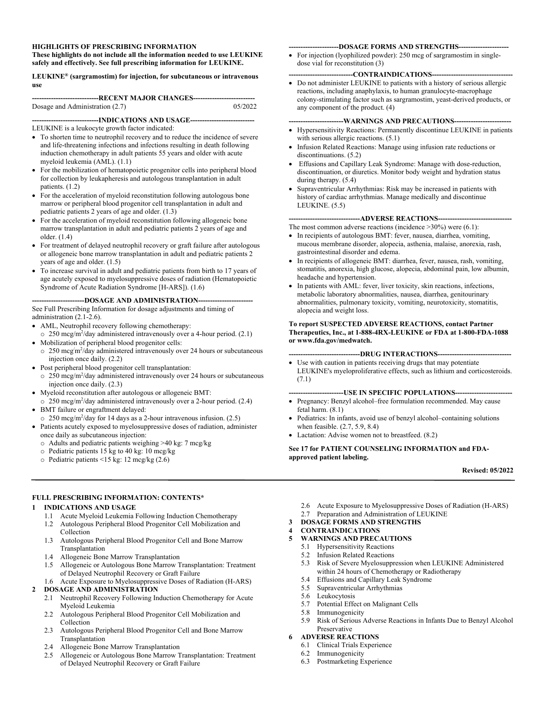#### **HIGHLIGHTS OF PRESCRIBING INFORMATION**

**These highlights do not include all the information needed to use LEUKINE safely and effectively. See full prescribing information for LEUKINE.** 

#### **LEUKINE® (sargramostim) for injection, for subcutaneous or intravenous use**

| ------------------------------RECENT MAJOR CHANGES----------------------------- |         |
|---------------------------------------------------------------------------------|---------|
| Dosage and Administration (2.7)                                                 | 05/2022 |

**----------------------------INDICATIONS AND USAGE---------------------------** 

#### LEUKINE is a leukocyte growth factor indicated:

- To shorten time to neutrophil recovery and to reduce the incidence of severe and life-threatening infections and infections resulting in death following induction chemotherapy in adult patients 55 years and older with acute myeloid leukemia (AML). (1.1)
- For the mobilization of hematopoietic progenitor cells into peripheral blood for collection by leukapheresis and autologous transplantation in adult patients. (1.2)
- For the acceleration of myeloid reconstitution following autologous bone marrow or peripheral blood progenitor cell transplantation in adult and pediatric patients 2 years of age and older. (1.3)
- For the acceleration of myeloid reconstitution following allogeneic bone marrow transplantation in adult and pediatric patients 2 years of age and older. (1.4)
- For treatment of delayed neutrophil recovery or graft failure after autologous or allogeneic bone marrow transplantation in adult and pediatric patients 2 years of age and older. (1.5)
- To increase survival in adult and pediatric patients from birth to 17 years of age acutely exposed to myelosuppressive doses of radiation (Hematopoietic Syndrome of Acute Radiation Syndrome [H-ARS]). (1.6)

--DOSAGE AND ADMINISTRATION--

See Full Prescribing Information for dosage adjustments and timing of administration (2.1-2.6).

- AML, Neutrophil recovery following chemotherapy:
- o 250 mcg/m2 /day administered intravenously over a 4-hour period. (2.1) Mobilization of peripheral blood progenitor cells:
- o 250 mcg/m<sup>2</sup>/day administered intravenously over 24 hours or subcutaneous injection once daily. (2.2)
- Post peripheral blood progenitor cell transplantation: o 250 mcg/m<sup>2</sup>/day administered intravenously over 24 hours or subcutaneous injection once daily. (2.3)
- Myeloid reconstitution after autologous or allogeneic BMT:
- o 250 mcg/m2 /day administered intravenously over a 2-hour period. (2.4)
- BMT failure or engraftment delayed:
- o 250 mcg/m2 /day for 14 days as a 2-hour intravenous infusion. (2.5)
- Patients acutely exposed to myelosuppressive doses of radiation, administer once daily as subcutaneous injection:
	- o Adults and pediatric patients weighing >40 kg: 7 mcg/kg
	- o Pediatric patients 15 kg to 40 kg: 10 mcg/kg
	- o Pediatric patients <15 kg: 12 mcg/kg (2.6)

#### **FULL PRESCRIBING INFORMATION: CONTENTS\***

#### **1 INDICATIONS AND USAGE**

- 1.1 Acute Myeloid Leukemia Following Induction Chemotherapy
- 1.2 Autologous Peripheral Blood Progenitor Cell Mobilization and Collection
- 1.3 Autologous Peripheral Blood Progenitor Cell and Bone Marrow Transplantation
- 1.4 Allogeneic Bone Marrow Transplantation
- 1.5 Allogeneic or Autologous Bone Marrow Transplantation: Treatment of Delayed Neutrophil Recovery or Graft Failure
- 1.6 Acute Exposure to Myelosuppressive Doses of Radiation (H-ARS) **2 DOSAGE AND ADMINISTRATION** 
	- 2.1 Neutrophil Recovery Following Induction Chemotherapy for Acute Myeloid Leukemia
	- 2.2 Autologous Peripheral Blood Progenitor Cell Mobilization and Collection
	- 2.3 Autologous Peripheral Blood Progenitor Cell and Bone Marrow Transplantation
	- 2.4 Allogeneic Bone Marrow Transplantation
	- 2.5 Allogeneic or Autologous Bone Marrow Transplantation: Treatment of Delayed Neutrophil Recovery or Graft Failure

#### **---------------------DOSAGE FORMS AND STRENGTHS---------------------**

• For injection (lyophilized powder): 250 mcg of sargramostim in singledose vial for reconstitution (3)

#### -CONTRAINDICATIONS---

 Do not administer LEUKINE to patients with a history of serious allergic reactions, including anaphylaxis, to human granulocyte-macrophage colony-stimulating factor such as sargramostim, yeast-derived products, or any component of the product. (4)

#### ---WARNINGS AND PRECAUTIONS-----

- Hypersensitivity Reactions: Permanently discontinue LEUKINE in patients with serious allergic reactions. (5.1)
- Infusion Related Reactions: Manage using infusion rate reductions or discontinuations. (5.2)
- Effusions and Capillary Leak Syndrome: Manage with dose-reduction, discontinuation, or diuretics. Monitor body weight and hydration status during therapy. (5.4)
- Supraventricular Arrhythmias: Risk may be increased in patients with history of cardiac arrhythmias. Manage medically and discontinue LEUKINE. (5.5)

#### -----ADVERSE REACTIONS----

The most common adverse reactions (incidence >30%) were (6.1):

- In recipients of autologous BMT: fever, nausea, diarrhea, vomiting, mucous membrane disorder, alopecia, asthenia, malaise, anorexia, rash, gastrointestinal disorder and edema.
- In recipients of allogeneic BMT: diarrhea, fever, nausea, rash, vomiting, stomatitis, anorexia, high glucose, alopecia, abdominal pain, low albumin, headache and hypertension.
- In patients with AML: fever, liver toxicity, skin reactions, infections, metabolic laboratory abnormalities, nausea, diarrhea, genitourinary abnormalities, pulmonary toxicity, vomiting, neurotoxicity, stomatitis, alopecia and weight loss.

#### **To report SUSPECTED ADVERSE REACTIONS, contact Partner Therapeutics, Inc., at 1-888-4RX-LEUKINE or FDA at 1-800-FDA-1088 or www.fda.gov/medwatch.**

- **------------------------------DRUG INTERACTIONS-------------------------------**
- Use with caution in patients receiving drugs that may potentiate LEUKINE's myeloproliferative effects, such as lithium and corticosteroids. (7.1)

#### **-----------------------USE IN SPECIFIC POPULATIONS------------------------**

- Pregnancy: Benzyl alcohol–free formulation recommended. May cause fetal harm. (8.1)
- Pediatrics: In infants, avoid use of benzyl alcohol–containing solutions when feasible. (2.7, 5.9, 8.4)
- Lactation: Advise women not to breastfeed. (8.2)

**See 17 for PATIENT COUNSELING INFORMATION and FDAapproved patient labeling.** 

#### **Revised: 05/2022**

- 2.6 Acute Exposure to Myelosuppressive Doses of Radiation (H-ARS)
- 2.7 Preparation and Administration of LEUKINE

#### **3 DOSAGE FORMS AND STRENGTHS**

#### **4 CONTRAINDICATIONS**

- **5 WARNINGS AND PRECAUTIONS** 
	- 5.1 Hypersensitivity Reactions
	- 5.2 Infusion Related Reactions
	- 5.3 Risk of Severe Myelosuppression when LEUKINE Administered within 24 hours of Chemotherapy or Radiotherapy
	- 5.4 Effusions and Capillary Leak Syndrome
	- 5.5 Supraventricular Arrhythmias
	- 5.6 Leukocytosis
	- 5.7 Potential Effect on Malignant Cells
	- 5.8 Immunogenicity 5.9 Risk of Serious Adverse Reactions in Infants Due to Benzyl Alcohol Preservative

#### **6 ADVERSE REACTIONS**

- 6.1 Clinical Trials Experience
- 6.2 Immunogenicity
- 6.3 Postmarketing Experience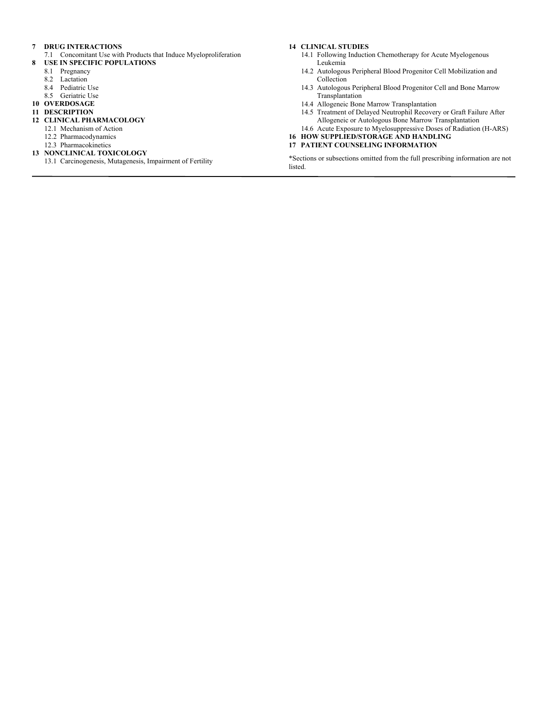#### **7 DRUG INTERACTIONS**

- 7.1 Concomitant Use with Products that Induce Myeloproliferation **8 USE IN SPECIFIC POPULATIONS** 
	- 8.1 Pregnancy
		-
	- 8.2 Lactation 8.4 Pediatric Use
	- 8.5 Geriatric Use
- **10 OVERDOSAGE**

#### **11 DESCRIPTION**

#### **12 CLINICAL PHARMACOLOGY**

- 12.1 Mechanism of Action
- 12.2 Pharmacodynamics
- 12.3 Pharmacokinetics
- **13 NONCLINICAL TOXICOLOGY** 
	- 13.1 Carcinogenesis, Mutagenesis, Impairment of Fertility

#### **14 CLINICAL STUDIES**

- 14.1 Following Induction Chemotherapy for Acute Myelogenous Leukemia
- 14.2 Autologous Peripheral Blood Progenitor Cell Mobilization and Collection
- 14.3 Autologous Peripheral Blood Progenitor Cell and Bone Marrow Transplantation
- 14.4 Allogeneic Bone Marrow Transplantation
- 14.5 Treatment of Delayed Neutrophil Recovery or Graft Failure After Allogeneic or Autologous Bone Marrow Transplantation
- 14.6 Acute Exposure to Myelosuppressive Doses of Radiation (H-ARS)

#### **16 HOW SUPPLIED/STORAGE AND HANDLING 17 PATIENT COUNSELING INFORMATION**

\*Sections or subsections omitted from the full prescribing information are not listed.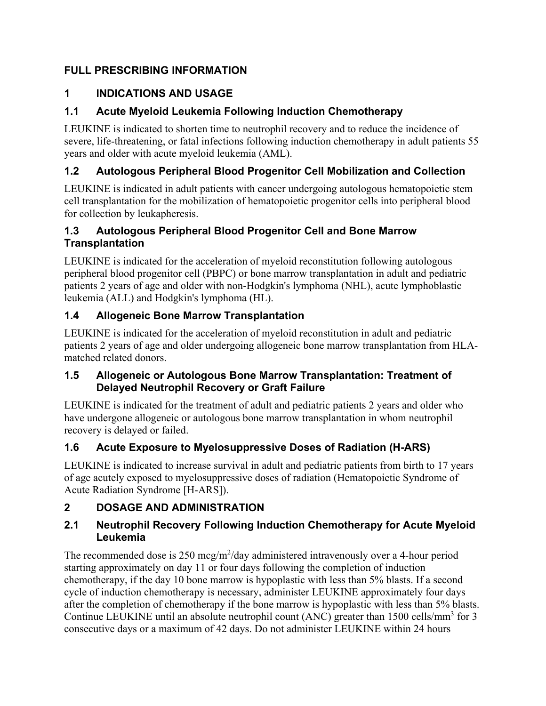## **FULL PRESCRIBING INFORMATION**

## **1 INDICATIONS AND USAGE**

## **1.1 Acute Myeloid Leukemia Following Induction Chemotherapy**

LEUKINE is indicated to shorten time to neutrophil recovery and to reduce the incidence of severe, life-threatening, or fatal infections following induction chemotherapy in adult patients 55 years and older with acute myeloid leukemia (AML).

## **1.2 Autologous Peripheral Blood Progenitor Cell Mobilization and Collection**

LEUKINE is indicated in adult patients with cancer undergoing autologous hematopoietic stem cell transplantation for the mobilization of hematopoietic progenitor cells into peripheral blood for collection by leukapheresis.

### **1.3 Autologous Peripheral Blood Progenitor Cell and Bone Marrow Transplantation**

LEUKINE is indicated for the acceleration of myeloid reconstitution following autologous peripheral blood progenitor cell (PBPC) or bone marrow transplantation in adult and pediatric patients 2 years of age and older with non-Hodgkin's lymphoma (NHL), acute lymphoblastic leukemia (ALL) and Hodgkin's lymphoma (HL).

## **1.4 Allogeneic Bone Marrow Transplantation**

LEUKINE is indicated for the acceleration of myeloid reconstitution in adult and pediatric patients 2 years of age and older undergoing allogeneic bone marrow transplantation from HLAmatched related donors.

### **1.5 Allogeneic or Autologous Bone Marrow Transplantation: Treatment of Delayed Neutrophil Recovery or Graft Failure**

LEUKINE is indicated for the treatment of adult and pediatric patients 2 years and older who have undergone allogeneic or autologous bone marrow transplantation in whom neutrophil recovery is delayed or failed.

## **1.6 Acute Exposure to Myelosuppressive Doses of Radiation (H-ARS)**

LEUKINE is indicated to increase survival in adult and pediatric patients from birth to 17 years of age acutely exposed to myelosuppressive doses of radiation (Hematopoietic Syndrome of Acute Radiation Syndrome [H-ARS]).

## **2 DOSAGE AND ADMINISTRATION**

### **2.1 Neutrophil Recovery Following Induction Chemotherapy for Acute Myeloid Leukemia**

The recommended dose is  $250 \text{~mg/m}^2$ /day administered intravenously over a 4-hour period starting approximately on day 11 or four days following the completion of induction chemotherapy, if the day 10 bone marrow is hypoplastic with less than 5% blasts. If a second cycle of induction chemotherapy is necessary, administer LEUKINE approximately four days after the completion of chemotherapy if the bone marrow is hypoplastic with less than 5% blasts. Continue LEUKINE until an absolute neutrophil count (ANC) greater than  $1500$  cells/mm<sup>3</sup> for 3 consecutive days or a maximum of 42 days. Do not administer LEUKINE within 24 hours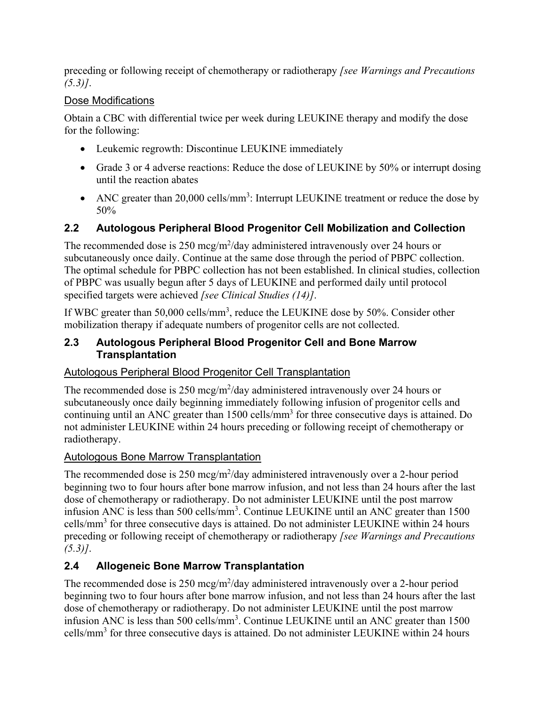preceding or following receipt of chemotherapy or radiotherapy *[see Warnings and Precautions (5.3)]*.

### Dose Modifications

Obtain a CBC with differential twice per week during LEUKINE therapy and modify the dose for the following:

- Leukemic regrowth: Discontinue LEUKINE immediately
- Grade 3 or 4 adverse reactions: Reduce the dose of LEUKINE by 50% or interrupt dosing until the reaction abates
- ANC greater than  $20,000$  cells/mm<sup>3</sup>: Interrupt LEUKINE treatment or reduce the dose by 50%

## **2.2 Autologous Peripheral Blood Progenitor Cell Mobilization and Collection**

The recommended dose is  $250 \text{~mcg/m}^2$ /day administered intravenously over 24 hours or subcutaneously once daily. Continue at the same dose through the period of PBPC collection. The optimal schedule for PBPC collection has not been established. In clinical studies, collection of PBPC was usually begun after 5 days of LEUKINE and performed daily until protocol specified targets were achieved *[see Clinical Studies (14)]*.

If WBC greater than  $50,000$  cells/mm<sup>3</sup>, reduce the LEUKINE dose by  $50\%$ . Consider other mobilization therapy if adequate numbers of progenitor cells are not collected.

#### **2.3 Autologous Peripheral Blood Progenitor Cell and Bone Marrow Transplantation**

## Autologous Peripheral Blood Progenitor Cell Transplantation

The recommended dose is  $250 \text{~mcg/m}^2$ /day administered intravenously over 24 hours or subcutaneously once daily beginning immediately following infusion of progenitor cells and continuing until an ANC greater than 1500 cells/mm<sup>3</sup> for three consecutive days is attained. Do not administer LEUKINE within 24 hours preceding or following receipt of chemotherapy or radiotherapy.

### Autologous Bone Marrow Transplantation

The recommended dose is  $250 \text{~mg/m}^2$ /day administered intravenously over a 2-hour period beginning two to four hours after bone marrow infusion, and not less than 24 hours after the last dose of chemotherapy or radiotherapy. Do not administer LEUKINE until the post marrow infusion ANC is less than  $500$  cells/mm<sup>3</sup>. Continue LEUKINE until an ANC greater than  $1500$ cells/mm<sup>3</sup> for three consecutive days is attained. Do not administer LEUKINE within 24 hours preceding or following receipt of chemotherapy or radiotherapy *[see Warnings and Precautions (5.3)]*.

## **2.4 Allogeneic Bone Marrow Transplantation**

The recommended dose is  $250 \text{~mg/m}^2$ /day administered intravenously over a 2-hour period beginning two to four hours after bone marrow infusion, and not less than 24 hours after the last dose of chemotherapy or radiotherapy. Do not administer LEUKINE until the post marrow infusion ANC is less than  $500$  cells/mm<sup>3</sup>. Continue LEUKINE until an ANC greater than  $1500$ cells/mm<sup>3</sup> for three consecutive days is attained. Do not administer LEUKINE within 24 hours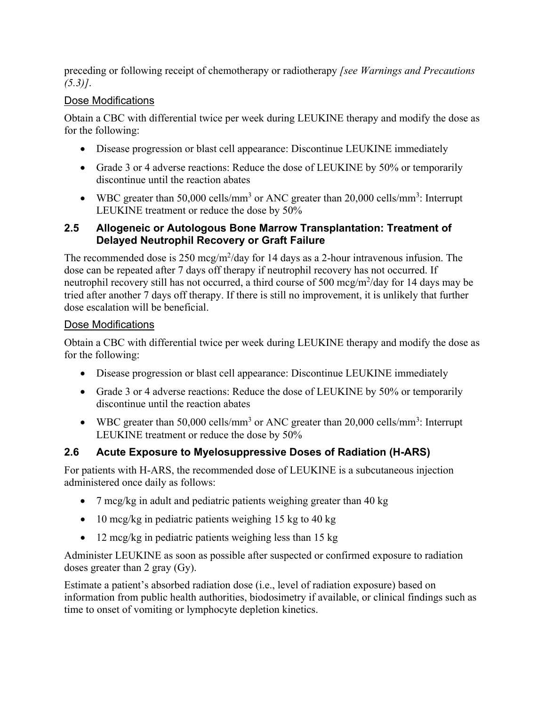preceding or following receipt of chemotherapy or radiotherapy *[see Warnings and Precautions (5.3)]*.

### Dose Modifications

Obtain a CBC with differential twice per week during LEUKINE therapy and modify the dose as for the following:

- Disease progression or blast cell appearance: Discontinue LEUKINE immediately
- Grade 3 or 4 adverse reactions: Reduce the dose of LEUKINE by 50% or temporarily discontinue until the reaction abates
- WBC greater than 50,000 cells/mm<sup>3</sup> or ANC greater than 20,000 cells/mm<sup>3</sup>: Interrupt LEUKINE treatment or reduce the dose by 50%

### **2.5 Allogeneic or Autologous Bone Marrow Transplantation: Treatment of Delayed Neutrophil Recovery or Graft Failure**

The recommended dose is  $250 \text{~mcg/m}^2$ /day for 14 days as a 2-hour intravenous infusion. The dose can be repeated after 7 days off therapy if neutrophil recovery has not occurred. If neutrophil recovery still has not occurred, a third course of 500 mcg/m<sup>2</sup>/day for 14 days may be tried after another 7 days off therapy. If there is still no improvement, it is unlikely that further dose escalation will be beneficial.

### Dose Modifications

Obtain a CBC with differential twice per week during LEUKINE therapy and modify the dose as for the following:

- Disease progression or blast cell appearance: Discontinue LEUKINE immediately
- Grade 3 or 4 adverse reactions: Reduce the dose of LEUKINE by 50% or temporarily discontinue until the reaction abates
- WBC greater than 50,000 cells/mm<sup>3</sup> or ANC greater than 20,000 cells/mm<sup>3</sup>: Interrupt LEUKINE treatment or reduce the dose by 50%

## **2.6 Acute Exposure to Myelosuppressive Doses of Radiation (H-ARS)**

For patients with H-ARS, the recommended dose of LEUKINE is a subcutaneous injection administered once daily as follows:

- 7 mcg/kg in adult and pediatric patients weighing greater than  $40 \text{ kg}$
- 10 mcg/kg in pediatric patients weighing 15 kg to 40 kg
- 12 mcg/kg in pediatric patients weighing less than 15 kg

Administer LEUKINE as soon as possible after suspected or confirmed exposure to radiation doses greater than 2 gray (Gy).

Estimate a patient's absorbed radiation dose (i.e., level of radiation exposure) based on information from public health authorities, biodosimetry if available, or clinical findings such as time to onset of vomiting or lymphocyte depletion kinetics.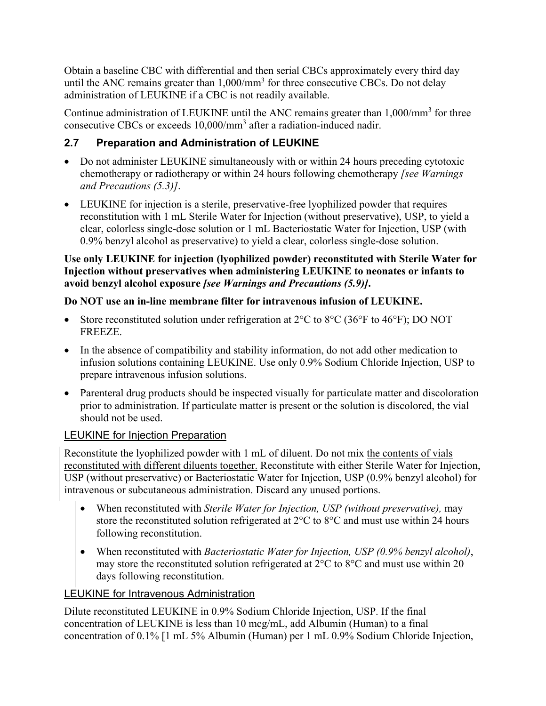Obtain a baseline CBC with differential and then serial CBCs approximately every third day until the ANC remains greater than  $1,000/\text{mm}^3$  for three consecutive CBCs. Do not delay administration of LEUKINE if a CBC is not readily available.

Continue administration of LEUKINE until the ANC remains greater than  $1,000/\text{mm}^3$  for three consecutive CBCs or exceeds 10,000/mm<sup>3</sup> after a radiation-induced nadir.

## **2.7 Preparation and Administration of LEUKINE**

- Do not administer LEUKINE simultaneously with or within 24 hours preceding cytotoxic chemotherapy or radiotherapy or within 24 hours following chemotherapy *[see Warnings and Precautions (5.3)]*.
- LEUKINE for injection is a sterile, preservative-free lyophilized powder that requires reconstitution with 1 mL Sterile Water for Injection (without preservative), USP, to yield a clear, colorless single-dose solution or 1 mL Bacteriostatic Water for Injection, USP (with 0.9% benzyl alcohol as preservative) to yield a clear, colorless single-dose solution.

### **Use only LEUKINE for injection (lyophilized powder) reconstituted with Sterile Water for Injection without preservatives when administering LEUKINE to neonates or infants to avoid benzyl alcohol exposure** *[see Warnings and Precautions (5.9)]***.**

## **Do NOT use an in-line membrane filter for intravenous infusion of LEUKINE.**

- Store reconstituted solution under refrigeration at  $2^{\circ}$ C to  $8^{\circ}$ C (36°F to 46°F); DO NOT FREEZE.
- In the absence of compatibility and stability information, do not add other medication to infusion solutions containing LEUKINE. Use only 0.9% Sodium Chloride Injection, USP to prepare intravenous infusion solutions.
- Parenteral drug products should be inspected visually for particulate matter and discoloration prior to administration. If particulate matter is present or the solution is discolored, the vial should not be used.

## **LEUKINE for Injection Preparation**

Reconstitute the lyophilized powder with 1 mL of diluent. Do not mix the contents of vials reconstituted with different diluents together. Reconstitute with either Sterile Water for Injection, USP (without preservative) or Bacteriostatic Water for Injection, USP (0.9% benzyl alcohol) for intravenous or subcutaneous administration. Discard any unused portions.

- When reconstituted with *Sterile Water for Injection, USP (without preservative),* may store the reconstituted solution refrigerated at 2°C to 8°C and must use within 24 hours following reconstitution.
- When reconstituted with *Bacteriostatic Water for Injection, USP (0.9% benzyl alcohol)*, may store the reconstituted solution refrigerated at 2°C to 8°C and must use within 20 days following reconstitution.

## LEUKINE for Intravenous Administration

Dilute reconstituted LEUKINE in 0.9% Sodium Chloride Injection, USP. If the final concentration of LEUKINE is less than 10 mcg/mL, add Albumin (Human) to a final concentration of 0.1% [1 mL 5% Albumin (Human) per 1 mL 0.9% Sodium Chloride Injection,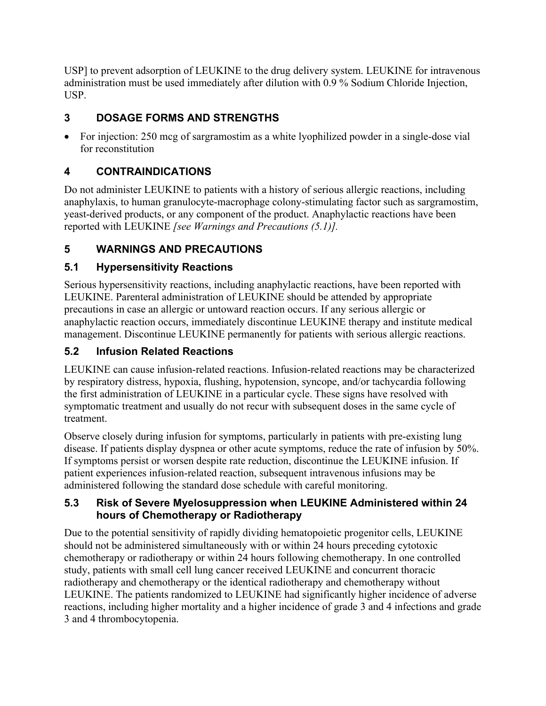USP] to prevent adsorption of LEUKINE to the drug delivery system. LEUKINE for intravenous administration must be used immediately after dilution with 0.9 % Sodium Chloride Injection, USP.

## **3 DOSAGE FORMS AND STRENGTHS**

 For injection: 250 mcg of sargramostim as a white lyophilized powder in a single-dose vial for reconstitution

## **4 CONTRAINDICATIONS**

Do not administer LEUKINE to patients with a history of serious allergic reactions, including anaphylaxis, to human granulocyte-macrophage colony-stimulating factor such as sargramostim, yeast-derived products, or any component of the product. Anaphylactic reactions have been reported with LEUKINE *[see Warnings and Precautions (5.1)].*

# **5 WARNINGS AND PRECAUTIONS**

## **5.1 Hypersensitivity Reactions**

Serious hypersensitivity reactions, including anaphylactic reactions, have been reported with LEUKINE. Parenteral administration of LEUKINE should be attended by appropriate precautions in case an allergic or untoward reaction occurs. If any serious allergic or anaphylactic reaction occurs, immediately discontinue LEUKINE therapy and institute medical management. Discontinue LEUKINE permanently for patients with serious allergic reactions.

## **5.2 Infusion Related Reactions**

LEUKINE can cause infusion-related reactions. Infusion-related reactions may be characterized by respiratory distress, hypoxia, flushing, hypotension, syncope, and/or tachycardia following the first administration of LEUKINE in a particular cycle. These signs have resolved with symptomatic treatment and usually do not recur with subsequent doses in the same cycle of treatment.

Observe closely during infusion for symptoms, particularly in patients with pre-existing lung disease. If patients display dyspnea or other acute symptoms, reduce the rate of infusion by 50%. If symptoms persist or worsen despite rate reduction, discontinue the LEUKINE infusion. If patient experiences infusion-related reaction, subsequent intravenous infusions may be administered following the standard dose schedule with careful monitoring.

### **5.3 Risk of Severe Myelosuppression when LEUKINE Administered within 24 hours of Chemotherapy or Radiotherapy**

Due to the potential sensitivity of rapidly dividing hematopoietic progenitor cells, LEUKINE should not be administered simultaneously with or within 24 hours preceding cytotoxic chemotherapy or radiotherapy or within 24 hours following chemotherapy. In one controlled study, patients with small cell lung cancer received LEUKINE and concurrent thoracic radiotherapy and chemotherapy or the identical radiotherapy and chemotherapy without LEUKINE. The patients randomized to LEUKINE had significantly higher incidence of adverse reactions, including higher mortality and a higher incidence of grade 3 and 4 infections and grade 3 and 4 thrombocytopenia.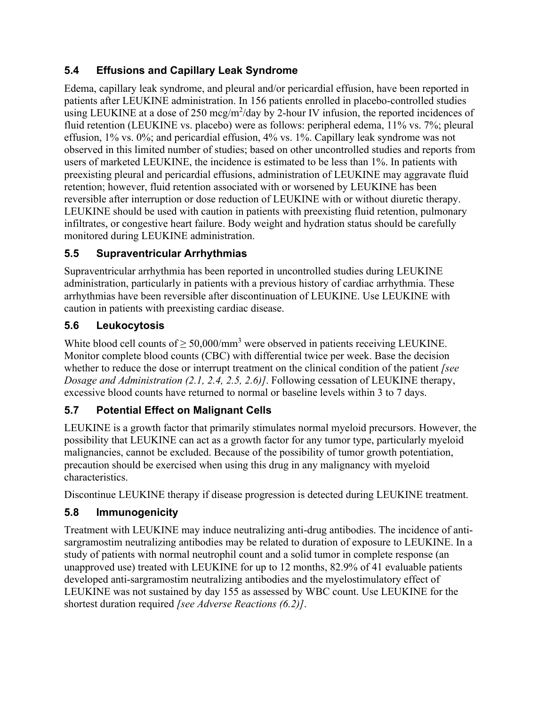## **5.4 Effusions and Capillary Leak Syndrome**

Edema, capillary leak syndrome, and pleural and/or pericardial effusion, have been reported in patients after LEUKINE administration. In 156 patients enrolled in placebo-controlled studies using LEUKINE at a dose of 250 mcg/m<sup>2</sup>/day by 2-hour IV infusion, the reported incidences of fluid retention (LEUKINE vs. placebo) were as follows: peripheral edema, 11% vs. 7%; pleural effusion, 1% vs. 0%; and pericardial effusion, 4% vs. 1%. Capillary leak syndrome was not observed in this limited number of studies; based on other uncontrolled studies and reports from users of marketed LEUKINE, the incidence is estimated to be less than 1%. In patients with preexisting pleural and pericardial effusions, administration of LEUKINE may aggravate fluid retention; however, fluid retention associated with or worsened by LEUKINE has been reversible after interruption or dose reduction of LEUKINE with or without diuretic therapy. LEUKINE should be used with caution in patients with preexisting fluid retention, pulmonary infiltrates, or congestive heart failure. Body weight and hydration status should be carefully monitored during LEUKINE administration.

## **5.5 Supraventricular Arrhythmias**

Supraventricular arrhythmia has been reported in uncontrolled studies during LEUKINE administration, particularly in patients with a previous history of cardiac arrhythmia. These arrhythmias have been reversible after discontinuation of LEUKINE. Use LEUKINE with caution in patients with preexisting cardiac disease.

## **5.6 Leukocytosis**

White blood cell counts of  $\geq 50,000/\text{mm}^3$  were observed in patients receiving LEUKINE. Monitor complete blood counts (CBC) with differential twice per week. Base the decision whether to reduce the dose or interrupt treatment on the clinical condition of the patient *[see Dosage and Administration (2.1, 2.4, 2.5, 2.6)]*. Following cessation of LEUKINE therapy, excessive blood counts have returned to normal or baseline levels within 3 to 7 days.

## **5.7 Potential Effect on Malignant Cells**

LEUKINE is a growth factor that primarily stimulates normal myeloid precursors. However, the possibility that LEUKINE can act as a growth factor for any tumor type, particularly myeloid malignancies, cannot be excluded. Because of the possibility of tumor growth potentiation, precaution should be exercised when using this drug in any malignancy with myeloid characteristics.

Discontinue LEUKINE therapy if disease progression is detected during LEUKINE treatment.

## **5.8 Immunogenicity**

Treatment with LEUKINE may induce neutralizing anti-drug antibodies. The incidence of antisargramostim neutralizing antibodies may be related to duration of exposure to LEUKINE. In a study of patients with normal neutrophil count and a solid tumor in complete response (an unapproved use) treated with LEUKINE for up to 12 months, 82.9% of 41 evaluable patients developed anti-sargramostim neutralizing antibodies and the myelostimulatory effect of LEUKINE was not sustained by day 155 as assessed by WBC count. Use LEUKINE for the shortest duration required *[see Adverse Reactions (6.2)]*.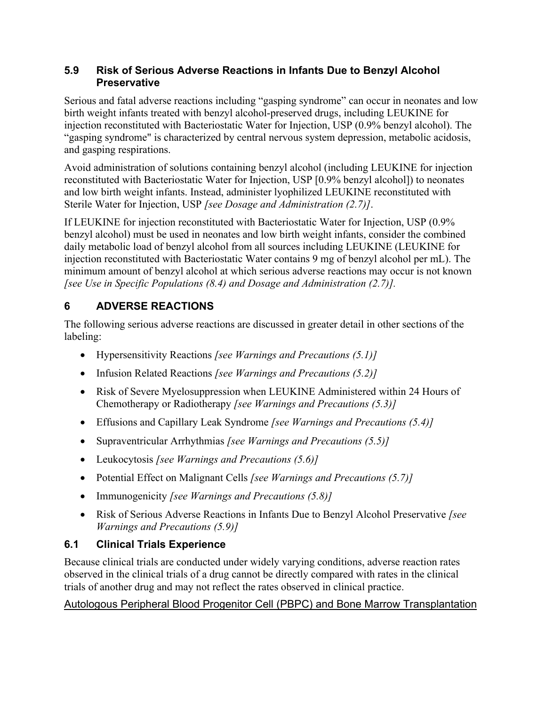#### **5.9 Risk of Serious Adverse Reactions in Infants Due to Benzyl Alcohol Preservative**

Serious and fatal adverse reactions including "gasping syndrome" can occur in neonates and low birth weight infants treated with benzyl alcohol-preserved drugs, including LEUKINE for injection reconstituted with Bacteriostatic Water for Injection, USP (0.9% benzyl alcohol). The "gasping syndrome" is characterized by central nervous system depression, metabolic acidosis, and gasping respirations.

Avoid administration of solutions containing benzyl alcohol (including LEUKINE for injection reconstituted with Bacteriostatic Water for Injection, USP [0.9% benzyl alcohol]) to neonates and low birth weight infants. Instead, administer lyophilized LEUKINE reconstituted with Sterile Water for Injection, USP *[see Dosage and Administration (2.7)]*.

If LEUKINE for injection reconstituted with Bacteriostatic Water for Injection, USP (0.9% benzyl alcohol) must be used in neonates and low birth weight infants, consider the combined daily metabolic load of benzyl alcohol from all sources including LEUKINE (LEUKINE for injection reconstituted with Bacteriostatic Water contains 9 mg of benzyl alcohol per mL). The minimum amount of benzyl alcohol at which serious adverse reactions may occur is not known *[see Use in Specific Populations (8.4) and Dosage and Administration (2.7)].* 

## **6 ADVERSE REACTIONS**

The following serious adverse reactions are discussed in greater detail in other sections of the labeling:

- Hypersensitivity Reactions *[see Warnings and Precautions (5.1)]*
- Infusion Related Reactions *[see Warnings and Precautions (5.2)]*
- Risk of Severe Myelosuppression when LEUKINE Administered within 24 Hours of Chemotherapy or Radiotherapy *[see Warnings and Precautions (5.3)]*
- Effusions and Capillary Leak Syndrome *[see Warnings and Precautions (5.4)]*
- Supraventricular Arrhythmias *[see Warnings and Precautions (5.5)]*
- Leukocytosis *[see Warnings and Precautions (5.6)]*
- Potential Effect on Malignant Cells *[see Warnings and Precautions (5.7)]*
- Immunogenicity *[see Warnings and Precautions (5.8)]*
- Risk of Serious Adverse Reactions in Infants Due to Benzyl Alcohol Preservative *[see Warnings and Precautions (5.9)]*

# **6.1 Clinical Trials Experience**

Because clinical trials are conducted under widely varying conditions, adverse reaction rates observed in the clinical trials of a drug cannot be directly compared with rates in the clinical trials of another drug and may not reflect the rates observed in clinical practice.

Autologous Peripheral Blood Progenitor Cell (PBPC) and Bone Marrow Transplantation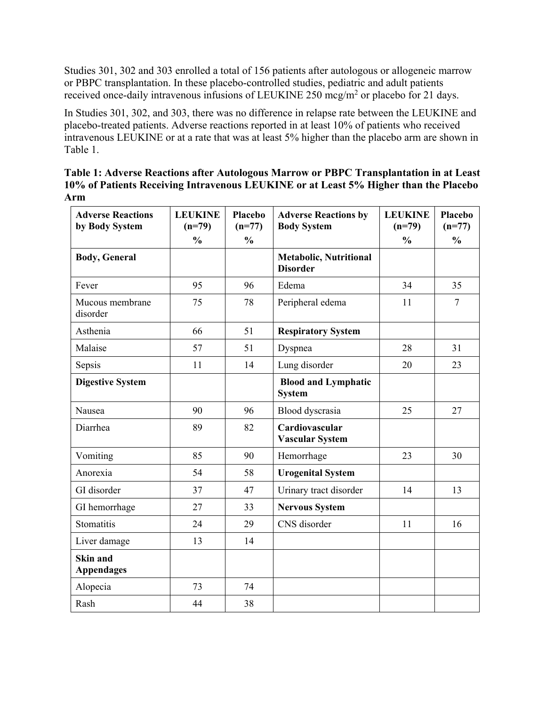Studies 301, 302 and 303 enrolled a total of 156 patients after autologous or allogeneic marrow or PBPC transplantation. In these placebo-controlled studies, pediatric and adult patients received once-daily intravenous infusions of LEUKINE 250 mcg/m<sup>2</sup> or placebo for 21 days.

In Studies 301, 302, and 303, there was no difference in relapse rate between the LEUKINE and placebo-treated patients. Adverse reactions reported in at least 10% of patients who received intravenous LEUKINE or at a rate that was at least 5% higher than the placebo arm are shown in Table 1.

**Table 1: Adverse Reactions after Autologous Marrow or PBPC Transplantation in at Least 10% of Patients Receiving Intravenous LEUKINE or at Least 5% Higher than the Placebo Arm** 

| <b>Adverse Reactions</b><br>by Body System | <b>LEUKINE</b><br>$(n=79)$ | Placebo<br>$(n=77)$ | <b>Adverse Reactions by</b><br><b>Body System</b> | <b>LEUKINE</b><br>$(n=79)$ | Placebo<br>$(n=77)$ |
|--------------------------------------------|----------------------------|---------------------|---------------------------------------------------|----------------------------|---------------------|
|                                            | $\frac{0}{0}$              | $\frac{0}{0}$       |                                                   | $\frac{0}{0}$              | $\frac{0}{0}$       |
| <b>Body, General</b>                       |                            |                     | <b>Metabolic, Nutritional</b><br><b>Disorder</b>  |                            |                     |
| Fever                                      | 95                         | 96                  | Edema                                             | 34                         | 35                  |
| Mucous membrane<br>disorder                | 75                         | 78                  | Peripheral edema                                  | 11                         | $\overline{7}$      |
| Asthenia                                   | 66                         | 51                  | <b>Respiratory System</b>                         |                            |                     |
| Malaise                                    | 57                         | 51                  | Dyspnea                                           | 28                         | 31                  |
| Sepsis                                     | 11                         | 14                  | Lung disorder                                     | 20                         | 23                  |
| <b>Digestive System</b>                    |                            |                     | <b>Blood and Lymphatic</b><br><b>System</b>       |                            |                     |
| Nausea                                     | 90                         | 96                  | Blood dyscrasia                                   | 25                         | 27                  |
| Diarrhea                                   | 89                         | 82                  | Cardiovascular<br><b>Vascular System</b>          |                            |                     |
| Vomiting                                   | 85                         | 90                  | Hemorrhage                                        | 23                         | 30                  |
| Anorexia                                   | 54                         | 58                  | <b>Urogenital System</b>                          |                            |                     |
| GI disorder                                | 37                         | 47                  | Urinary tract disorder                            | 14                         | 13                  |
| GI hemorrhage                              | 27                         | 33                  | <b>Nervous System</b>                             |                            |                     |
| Stomatitis                                 | 24                         | 29                  | CNS disorder                                      | 11                         | 16                  |
| Liver damage                               | 13                         | 14                  |                                                   |                            |                     |
| Skin and<br><b>Appendages</b>              |                            |                     |                                                   |                            |                     |
| Alopecia                                   | 73                         | 74                  |                                                   |                            |                     |
| Rash                                       | 44                         | 38                  |                                                   |                            |                     |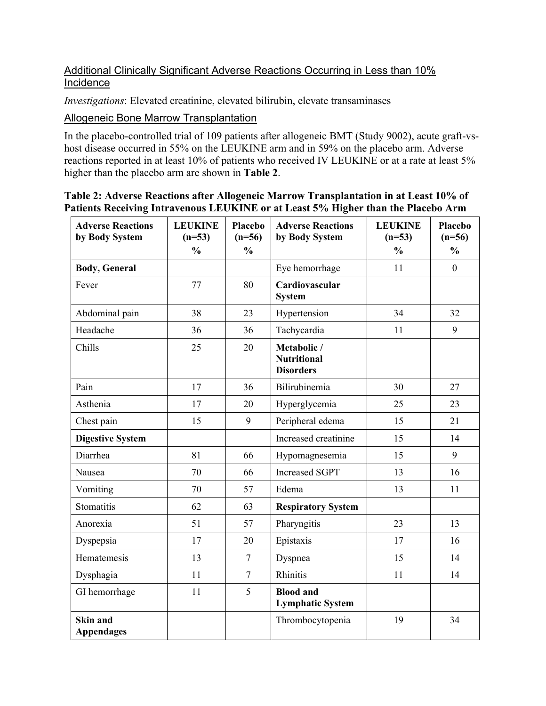### Additional Clinically Significant Adverse Reactions Occurring in Less than 10% **Incidence**

*Investigations*: Elevated creatinine, elevated bilirubin, elevate transaminases

Allogeneic Bone Marrow Transplantation

In the placebo-controlled trial of 109 patients after allogeneic BMT (Study 9002), acute graft-vshost disease occurred in 55% on the LEUKINE arm and in 59% on the placebo arm. Adverse reactions reported in at least 10% of patients who received IV LEUKINE or at a rate at least 5% higher than the placebo arm are shown in **Table 2**.

| Table 2: Adverse Reactions after Allogeneic Marrow Transplantation in at Least 10% of |
|---------------------------------------------------------------------------------------|
| Patients Receiving Intravenous LEUKINE or at Least 5% Higher than the Placebo Arm     |

| <b>Adverse Reactions</b><br>by Body System | <b>LEUKINE</b><br>$(n=53)$ | <b>Placebo</b><br>$(n=56)$ | <b>Adverse Reactions</b><br>by Body System            | <b>LEUKINE</b><br>$(n=53)$ | <b>Placebo</b><br>$(n=56)$ |
|--------------------------------------------|----------------------------|----------------------------|-------------------------------------------------------|----------------------------|----------------------------|
|                                            | $\frac{0}{0}$              | $\frac{0}{0}$              |                                                       | $\frac{0}{0}$              | $\frac{0}{0}$              |
| <b>Body, General</b>                       |                            |                            | Eye hemorrhage                                        | 11                         | $\mathbf{0}$               |
| Fever                                      | 77                         | 80                         | Cardiovascular<br><b>System</b>                       |                            |                            |
| Abdominal pain                             | 38                         | 23                         | Hypertension                                          | 34                         | 32                         |
| Headache                                   | 36                         | 36                         | Tachycardia                                           | 11                         | 9                          |
| Chills                                     | 25                         | 20                         | Metabolic /<br><b>Nutritional</b><br><b>Disorders</b> |                            |                            |
| Pain                                       | 17                         | 36                         | Bilirubinemia                                         | 30                         | 27                         |
| Asthenia                                   | 17                         | 20                         | Hyperglycemia                                         | 25                         | 23                         |
| Chest pain                                 | 15                         | 9                          | Peripheral edema                                      | 15                         | 21                         |
| <b>Digestive System</b>                    |                            |                            | Increased creatinine                                  | 15                         | 14                         |
| Diarrhea                                   | 81                         | 66                         | Hypomagnesemia                                        | 15                         | 9                          |
| Nausea                                     | 70                         | 66                         | <b>Increased SGPT</b>                                 | 13                         | 16                         |
| Vomiting                                   | 70                         | 57                         | Edema                                                 | 13                         | 11                         |
| Stomatitis                                 | 62                         | 63                         | <b>Respiratory System</b>                             |                            |                            |
| Anorexia                                   | 51                         | 57                         | Pharyngitis                                           | 23                         | 13                         |
| Dyspepsia                                  | 17                         | 20                         | Epistaxis                                             | 17                         | 16                         |
| Hematemesis                                | 13                         | $\overline{7}$             | Dyspnea                                               | 15                         | 14                         |
| Dysphagia                                  | 11                         | $\overline{7}$             | Rhinitis                                              | 11                         | 14                         |
| GI hemorrhage                              | 11                         | 5                          | <b>Blood and</b><br><b>Lymphatic System</b>           |                            |                            |
| Skin and<br><b>Appendages</b>              |                            |                            | Thrombocytopenia                                      | 19                         | 34                         |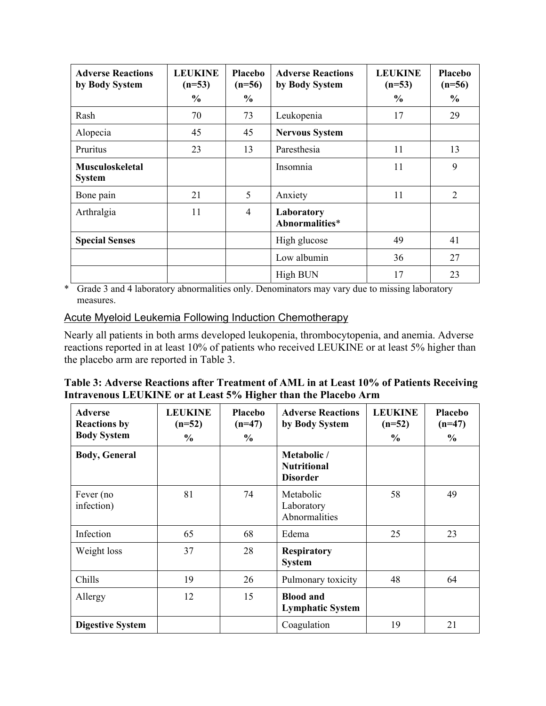| <b>Adverse Reactions</b><br>by Body System | <b>LEUKINE</b><br>$(n=53)$ | <b>Placebo</b><br>$(n=56)$ | <b>Adverse Reactions</b><br>by Body System | <b>LEUKINE</b><br>$(n=53)$ | <b>Placebo</b><br>$(n=56)$ |
|--------------------------------------------|----------------------------|----------------------------|--------------------------------------------|----------------------------|----------------------------|
|                                            | $\%$                       | $\frac{0}{0}$              |                                            | $\%$                       | $\frac{6}{6}$              |
| Rash                                       | 70                         | 73                         | Leukopenia                                 | 17                         | 29                         |
| Alopecia                                   | 45                         | 45                         | <b>Nervous System</b>                      |                            |                            |
| Pruritus                                   | 23                         | 13                         | Paresthesia                                | 11                         | 13                         |
| <b>Musculoskeletal</b><br><b>System</b>    |                            |                            | Insomnia                                   | 11                         | 9                          |
| Bone pain                                  | 21                         | 5                          | Anxiety                                    | 11                         | 2                          |
| Arthralgia                                 | 11                         | $\overline{4}$             | Laboratory<br>Abnormalities*               |                            |                            |
| <b>Special Senses</b>                      |                            |                            | High glucose                               | 49                         | 41                         |
|                                            |                            |                            | Low albumin                                | 36                         | 27                         |
|                                            |                            |                            | High BUN                                   | 17                         | 23                         |

\* Grade 3 and 4 laboratory abnormalities only. Denominators may vary due to missing laboratory measures.

#### Acute Myeloid Leukemia Following Induction Chemotherapy

Nearly all patients in both arms developed leukopenia, thrombocytopenia, and anemia. Adverse reactions reported in at least 10% of patients who received LEUKINE or at least 5% higher than the placebo arm are reported in Table 3.

| Table 3: Adverse Reactions after Treatment of AML in at Least 10% of Patients Receiving |  |
|-----------------------------------------------------------------------------------------|--|
| Intravenous LEUKINE or at Least 5% Higher than the Placebo Arm                          |  |

| <b>Adverse</b><br><b>Reactions by</b> | <b>LEUKINE</b><br>$(n=52)$ | Placebo<br>$(n=47)$ | <b>Adverse Reactions</b><br>by Body System           | <b>LEUKINE</b><br>$(n=52)$ | Placebo<br>$(n=47)$ |
|---------------------------------------|----------------------------|---------------------|------------------------------------------------------|----------------------------|---------------------|
| <b>Body System</b>                    | $\frac{6}{9}$              | $\frac{0}{0}$       |                                                      | $\frac{6}{9}$              | $\frac{6}{6}$       |
| <b>Body, General</b>                  |                            |                     | Metabolic /<br><b>Nutritional</b><br><b>Disorder</b> |                            |                     |
| Fever (no<br>infection)               | 81                         | 74                  | Metabolic<br>Laboratory<br>Abnormalities             | 58                         | 49                  |
| Infection                             | 65                         | 68                  | Edema                                                | 25                         | 23                  |
| Weight loss                           | 37                         | 28                  | <b>Respiratory</b><br><b>System</b>                  |                            |                     |
| Chills                                | 19                         | 26                  | Pulmonary toxicity                                   | 48                         | 64                  |
| Allergy                               | 12                         | 15                  | <b>Blood and</b><br><b>Lymphatic System</b>          |                            |                     |
| <b>Digestive System</b>               |                            |                     | Coagulation                                          | 19                         | 21                  |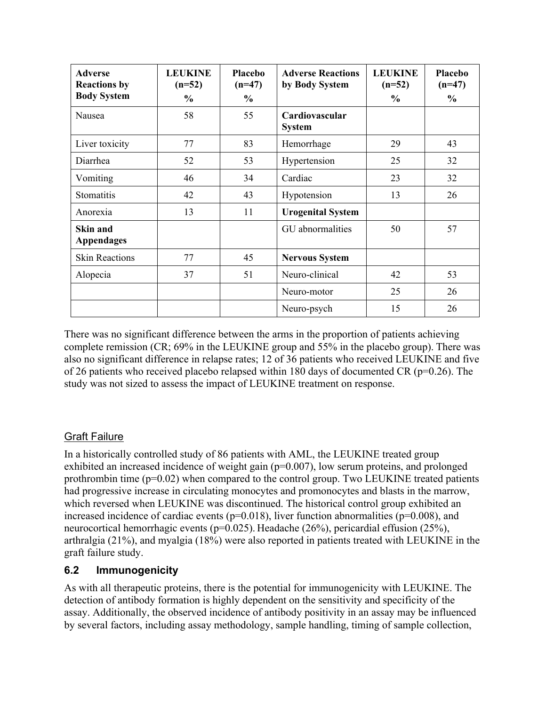| <b>Adverse</b><br><b>Reactions by</b> | <b>LEUKINE</b><br>$(n=52)$ | <b>Placebo</b><br>$(n=47)$ | <b>Adverse Reactions</b><br>by Body System | <b>LEUKINE</b><br>$(n=52)$ | Placebo<br>$(n=47)$ |
|---------------------------------------|----------------------------|----------------------------|--------------------------------------------|----------------------------|---------------------|
| <b>Body System</b>                    | $\frac{0}{0}$              | $\frac{6}{6}$              |                                            | $\%$                       | $\frac{0}{0}$       |
| Nausea                                | 58                         | 55                         | Cardiovascular<br><b>System</b>            |                            |                     |
| Liver toxicity                        | 77                         | 83                         | Hemorrhage                                 | 29                         | 43                  |
| Diarrhea                              | 52                         | 53                         | Hypertension                               | 25                         | 32                  |
| Vomiting                              | 46                         | 34                         | Cardiac                                    | 23                         | 32                  |
| Stomatitis                            | 42                         | 43                         | Hypotension                                | 13                         | 26                  |
| Anorexia                              | 13                         | 11                         | <b>Urogenital System</b>                   |                            |                     |
| Skin and<br><b>Appendages</b>         |                            |                            | GU abnormalities                           | 50                         | 57                  |
| <b>Skin Reactions</b>                 | 77                         | 45                         | <b>Nervous System</b>                      |                            |                     |
| Alopecia                              | 37                         | 51                         | Neuro-clinical                             | 42                         | 53                  |
|                                       |                            |                            | Neuro-motor                                | 25                         | 26                  |
|                                       |                            |                            | Neuro-psych                                | 15                         | 26                  |

There was no significant difference between the arms in the proportion of patients achieving complete remission (CR; 69% in the LEUKINE group and 55% in the placebo group). There was also no significant difference in relapse rates; 12 of 36 patients who received LEUKINE and five of 26 patients who received placebo relapsed within 180 days of documented CR ( $p=0.26$ ). The study was not sized to assess the impact of LEUKINE treatment on response.

## Graft Failure

In a historically controlled study of 86 patients with AML, the LEUKINE treated group exhibited an increased incidence of weight gain (p=0.007), low serum proteins, and prolonged prothrombin time  $(p=0.02)$  when compared to the control group. Two LEUKINE treated patients had progressive increase in circulating monocytes and promonocytes and blasts in the marrow, which reversed when LEUKINE was discontinued. The historical control group exhibited an increased incidence of cardiac events ( $p=0.018$ ), liver function abnormalities ( $p=0.008$ ), and neurocortical hemorrhagic events (p=0.025). Headache (26%), pericardial effusion (25%), arthralgia (21%), and myalgia (18%) were also reported in patients treated with LEUKINE in the graft failure study.

### **6.2 Immunogenicity**

As with all therapeutic proteins, there is the potential for immunogenicity with LEUKINE. The detection of antibody formation is highly dependent on the sensitivity and specificity of the assay. Additionally, the observed incidence of antibody positivity in an assay may be influenced by several factors, including assay methodology, sample handling, timing of sample collection,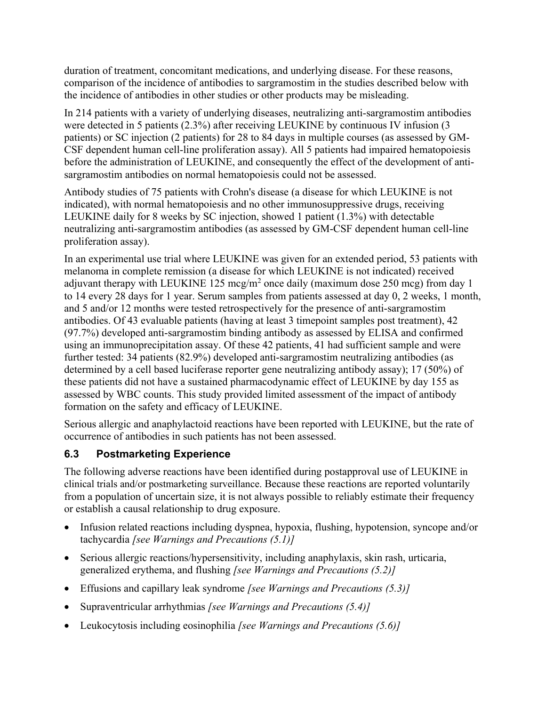duration of treatment, concomitant medications, and underlying disease. For these reasons, comparison of the incidence of antibodies to sargramostim in the studies described below with the incidence of antibodies in other studies or other products may be misleading.

In 214 patients with a variety of underlying diseases, neutralizing anti-sargramostim antibodies were detected in 5 patients (2.3%) after receiving LEUKINE by continuous IV infusion (3 patients) or SC injection (2 patients) for 28 to 84 days in multiple courses (as assessed by GM-CSF dependent human cell-line proliferation assay). All 5 patients had impaired hematopoiesis before the administration of LEUKINE, and consequently the effect of the development of antisargramostim antibodies on normal hematopoiesis could not be assessed.

Antibody studies of 75 patients with Crohn's disease (a disease for which LEUKINE is not indicated), with normal hematopoiesis and no other immunosuppressive drugs, receiving LEUKINE daily for 8 weeks by SC injection, showed 1 patient (1.3%) with detectable neutralizing anti-sargramostim antibodies (as assessed by GM-CSF dependent human cell-line proliferation assay).

In an experimental use trial where LEUKINE was given for an extended period, 53 patients with melanoma in complete remission (a disease for which LEUKINE is not indicated) received adjuvant therapy with LEUKINE 125 mcg/m<sup>2</sup> once daily (maximum dose 250 mcg) from day 1 to 14 every 28 days for 1 year. Serum samples from patients assessed at day 0, 2 weeks, 1 month, and 5 and/or 12 months were tested retrospectively for the presence of anti-sargramostim antibodies. Of 43 evaluable patients (having at least 3 timepoint samples post treatment), 42 (97.7%) developed anti-sargramostim binding antibody as assessed by ELISA and confirmed using an immunoprecipitation assay. Of these 42 patients, 41 had sufficient sample and were further tested: 34 patients (82.9%) developed anti-sargramostim neutralizing antibodies (as determined by a cell based luciferase reporter gene neutralizing antibody assay); 17 (50%) of these patients did not have a sustained pharmacodynamic effect of LEUKINE by day 155 as assessed by WBC counts. This study provided limited assessment of the impact of antibody formation on the safety and efficacy of LEUKINE.

Serious allergic and anaphylactoid reactions have been reported with LEUKINE, but the rate of occurrence of antibodies in such patients has not been assessed.

### **6.3 Postmarketing Experience**

The following adverse reactions have been identified during postapproval use of LEUKINE in clinical trials and/or postmarketing surveillance. Because these reactions are reported voluntarily from a population of uncertain size, it is not always possible to reliably estimate their frequency or establish a causal relationship to drug exposure.

- Infusion related reactions including dyspnea, hypoxia, flushing, hypotension, syncope and/or tachycardia *[see Warnings and Precautions (5.1)]*
- Serious allergic reactions/hypersensitivity, including anaphylaxis, skin rash, urticaria, generalized erythema, and flushing *[see Warnings and Precautions (5.2)]*
- Effusions and capillary leak syndrome *[see Warnings and Precautions (5.3)]*
- Supraventricular arrhythmias *[see Warnings and Precautions (5.4)]*
- Leukocytosis including eosinophilia *[see Warnings and Precautions (5.6)]*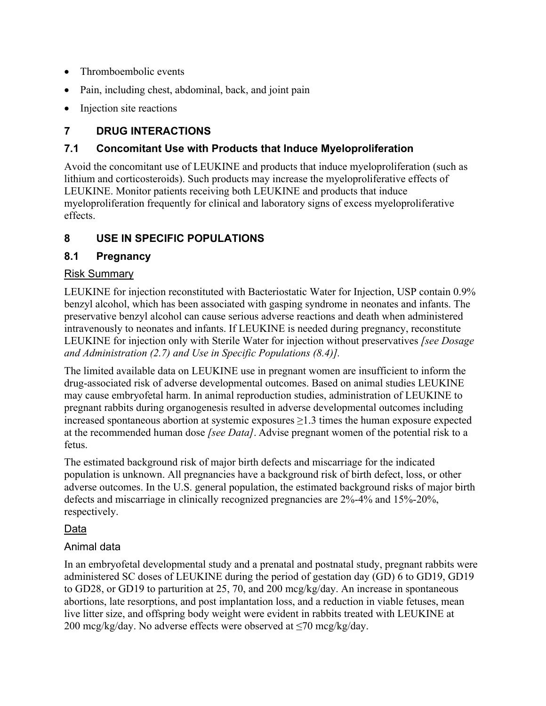- Thromboembolic events
- Pain, including chest, abdominal, back, and joint pain
- Injection site reactions

## **7 DRUG INTERACTIONS**

## **7.1 Concomitant Use with Products that Induce Myeloproliferation**

Avoid the concomitant use of LEUKINE and products that induce myeloproliferation (such as lithium and corticosteroids). Such products may increase the myeloproliferative effects of LEUKINE. Monitor patients receiving both LEUKINE and products that induce myeloproliferation frequently for clinical and laboratory signs of excess myeloproliferative effects.

## **8 USE IN SPECIFIC POPULATIONS**

### **8.1 Pregnancy**

### Risk Summary

LEUKINE for injection reconstituted with Bacteriostatic Water for Injection, USP contain 0.9% benzyl alcohol, which has been associated with gasping syndrome in neonates and infants. The preservative benzyl alcohol can cause serious adverse reactions and death when administered intravenously to neonates and infants. If LEUKINE is needed during pregnancy, reconstitute LEUKINE for injection only with Sterile Water for injection without preservatives *[see Dosage and Administration (2.7) and Use in Specific Populations (8.4)].*

The limited available data on LEUKINE use in pregnant women are insufficient to inform the drug-associated risk of adverse developmental outcomes. Based on animal studies LEUKINE may cause embryofetal harm. In animal reproduction studies, administration of LEUKINE to pregnant rabbits during organogenesis resulted in adverse developmental outcomes including increased spontaneous abortion at systemic exposures  $\geq$ 1.3 times the human exposure expected at the recommended human dose *[see Data]*. Advise pregnant women of the potential risk to a fetus.

The estimated background risk of major birth defects and miscarriage for the indicated population is unknown. All pregnancies have a background risk of birth defect, loss, or other adverse outcomes. In the U.S. general population, the estimated background risks of major birth defects and miscarriage in clinically recognized pregnancies are 2%-4% and 15%-20%, respectively.

## Data

## Animal data

In an embryofetal developmental study and a prenatal and postnatal study, pregnant rabbits were administered SC doses of LEUKINE during the period of gestation day (GD) 6 to GD19, GD19 to GD28, or GD19 to parturition at 25, 70, and 200 mcg/kg/day. An increase in spontaneous abortions, late resorptions, and post implantation loss, and a reduction in viable fetuses, mean live litter size, and offspring body weight were evident in rabbits treated with LEUKINE at 200 mcg/kg/day. No adverse effects were observed at  $\leq$ 70 mcg/kg/day.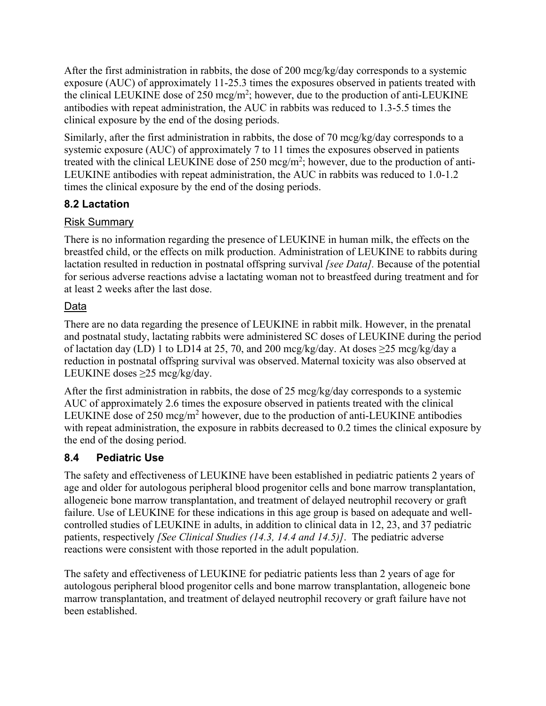After the first administration in rabbits, the dose of 200 mcg/kg/day corresponds to a systemic exposure (AUC) of approximately 11-25.3 times the exposures observed in patients treated with the clinical LEUKINE dose of 250 mcg/m<sup>2</sup>; however, due to the production of anti-LEUKINE antibodies with repeat administration, the AUC in rabbits was reduced to 1.3-5.5 times the clinical exposure by the end of the dosing periods.

Similarly, after the first administration in rabbits, the dose of 70 mcg/kg/day corresponds to a systemic exposure (AUC) of approximately 7 to 11 times the exposures observed in patients treated with the clinical LEUKINE dose of 250 mcg/m<sup>2</sup>; however, due to the production of anti-LEUKINE antibodies with repeat administration, the AUC in rabbits was reduced to 1.0-1.2 times the clinical exposure by the end of the dosing periods.

## **8.2 Lactation**

## Risk Summary

There is no information regarding the presence of LEUKINE in human milk, the effects on the breastfed child, or the effects on milk production. Administration of LEUKINE to rabbits during lactation resulted in reduction in postnatal offspring survival *[see Data].* Because of the potential for serious adverse reactions advise a lactating woman not to breastfeed during treatment and for at least 2 weeks after the last dose.

## Data

There are no data regarding the presence of LEUKINE in rabbit milk. However, in the prenatal and postnatal study, lactating rabbits were administered SC doses of LEUKINE during the period of lactation day (LD) 1 to LD14 at 25, 70, and 200 mcg/kg/day. At doses  $\geq$ 25 mcg/kg/day a reduction in postnatal offspring survival was observed. Maternal toxicity was also observed at LEUKINE doses ≥25 mcg/kg/day.

After the first administration in rabbits, the dose of 25 mcg/kg/day corresponds to a systemic AUC of approximately 2.6 times the exposure observed in patients treated with the clinical LEUKINE dose of 250 mcg/m<sup>2</sup> however, due to the production of anti-LEUKINE antibodies with repeat administration, the exposure in rabbits decreased to 0.2 times the clinical exposure by the end of the dosing period.

## **8.4 Pediatric Use**

The safety and effectiveness of LEUKINE have been established in pediatric patients 2 years of age and older for autologous peripheral blood progenitor cells and bone marrow transplantation, allogeneic bone marrow transplantation, and treatment of delayed neutrophil recovery or graft failure. Use of LEUKINE for these indications in this age group is based on adequate and wellcontrolled studies of LEUKINE in adults, in addition to clinical data in 12, 23, and 37 pediatric patients, respectively *[See Clinical Studies (14.3, 14.4 and 14.5)]*. The pediatric adverse reactions were consistent with those reported in the adult population.

The safety and effectiveness of LEUKINE for pediatric patients less than 2 years of age for autologous peripheral blood progenitor cells and bone marrow transplantation, allogeneic bone marrow transplantation, and treatment of delayed neutrophil recovery or graft failure have not been established.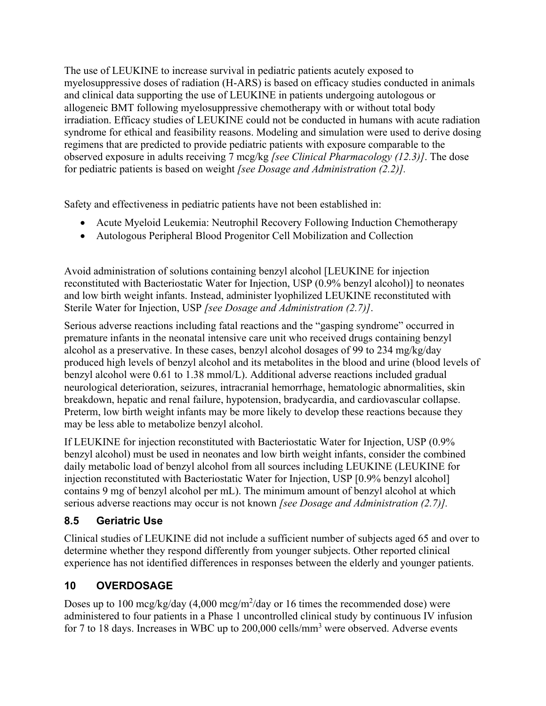The use of LEUKINE to increase survival in pediatric patients acutely exposed to myelosuppressive doses of radiation (H-ARS) is based on efficacy studies conducted in animals and clinical data supporting the use of LEUKINE in patients undergoing autologous or allogeneic BMT following myelosuppressive chemotherapy with or without total body irradiation. Efficacy studies of LEUKINE could not be conducted in humans with acute radiation syndrome for ethical and feasibility reasons. Modeling and simulation were used to derive dosing regimens that are predicted to provide pediatric patients with exposure comparable to the observed exposure in adults receiving 7 mcg/kg *[see Clinical Pharmacology (12.3)]*. The dose for pediatric patients is based on weight *[see Dosage and Administration (2.2)].*

Safety and effectiveness in pediatric patients have not been established in:

- Acute Myeloid Leukemia: Neutrophil Recovery Following Induction Chemotherapy
- Autologous Peripheral Blood Progenitor Cell Mobilization and Collection

Avoid administration of solutions containing benzyl alcohol [LEUKINE for injection reconstituted with Bacteriostatic Water for Injection, USP (0.9% benzyl alcohol)] to neonates and low birth weight infants. Instead, administer lyophilized LEUKINE reconstituted with Sterile Water for Injection, USP *[see Dosage and Administration (2.7)]*.

Serious adverse reactions including fatal reactions and the "gasping syndrome" occurred in premature infants in the neonatal intensive care unit who received drugs containing benzyl alcohol as a preservative. In these cases, benzyl alcohol dosages of 99 to 234 mg/kg/day produced high levels of benzyl alcohol and its metabolites in the blood and urine (blood levels of benzyl alcohol were 0.61 to 1.38 mmol/L). Additional adverse reactions included gradual neurological deterioration, seizures, intracranial hemorrhage, hematologic abnormalities, skin breakdown, hepatic and renal failure, hypotension, bradycardia, and cardiovascular collapse. Preterm, low birth weight infants may be more likely to develop these reactions because they may be less able to metabolize benzyl alcohol.

If LEUKINE for injection reconstituted with Bacteriostatic Water for Injection, USP (0.9% benzyl alcohol) must be used in neonates and low birth weight infants, consider the combined daily metabolic load of benzyl alcohol from all sources including LEUKINE (LEUKINE for injection reconstituted with Bacteriostatic Water for Injection, USP [0.9% benzyl alcohol] contains 9 mg of benzyl alcohol per mL). The minimum amount of benzyl alcohol at which serious adverse reactions may occur is not known *[see Dosage and Administration (2.7)].*

## **8.5 Geriatric Use**

Clinical studies of LEUKINE did not include a sufficient number of subjects aged 65 and over to determine whether they respond differently from younger subjects. Other reported clinical experience has not identified differences in responses between the elderly and younger patients.

## **10 OVERDOSAGE**

Doses up to 100 mcg/kg/day  $(4,000 \text{ mcg/m}^2/\text{day} \text{ or } 16 \text{ times the recommended dose})$  were administered to four patients in a Phase 1 uncontrolled clinical study by continuous IV infusion for 7 to 18 days. Increases in WBC up to  $200,000$  cells/mm<sup>3</sup> were observed. Adverse events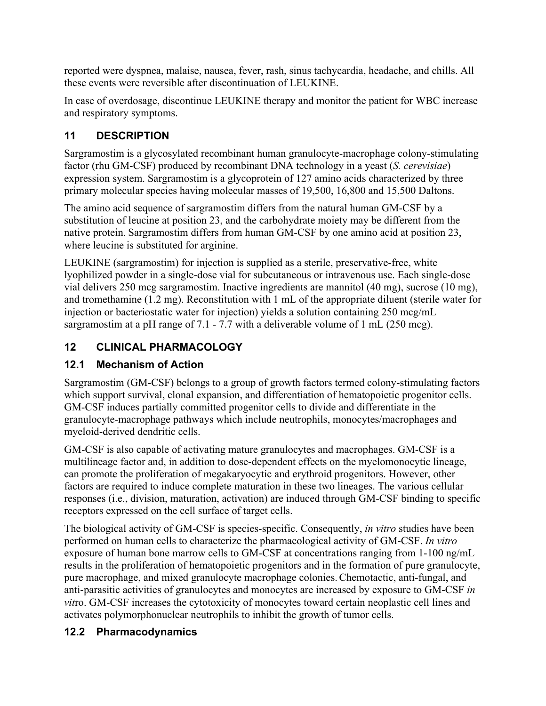reported were dyspnea, malaise, nausea, fever, rash, sinus tachycardia, headache, and chills. All these events were reversible after discontinuation of LEUKINE.

In case of overdosage, discontinue LEUKINE therapy and monitor the patient for WBC increase and respiratory symptoms.

## **11 DESCRIPTION**

Sargramostim is a glycosylated recombinant human granulocyte-macrophage colony-stimulating factor (rhu GM-CSF) produced by recombinant DNA technology in a yeast (*S. cerevisiae*) expression system. Sargramostim is a glycoprotein of 127 amino acids characterized by three primary molecular species having molecular masses of 19,500, 16,800 and 15,500 Daltons.

The amino acid sequence of sargramostim differs from the natural human GM-CSF by a substitution of leucine at position 23, and the carbohydrate moiety may be different from the native protein. Sargramostim differs from human GM-CSF by one amino acid at position 23, where leucine is substituted for arginine.

LEUKINE (sargramostim) for injection is supplied as a sterile, preservative-free, white lyophilized powder in a single-dose vial for subcutaneous or intravenous use. Each single-dose vial delivers 250 mcg sargramostim. Inactive ingredients are mannitol (40 mg), sucrose (10 mg), and tromethamine (1.2 mg). Reconstitution with 1 mL of the appropriate diluent (sterile water for injection or bacteriostatic water for injection) yields a solution containing 250 mcg/mL sargramostim at a pH range of 7.1 - 7.7 with a deliverable volume of 1 mL (250 mcg).

# **12 CLINICAL PHARMACOLOGY**

# **12.1 Mechanism of Action**

Sargramostim (GM-CSF) belongs to a group of growth factors termed colony-stimulating factors which support survival, clonal expansion, and differentiation of hematopoietic progenitor cells. GM-CSF induces partially committed progenitor cells to divide and differentiate in the granulocyte-macrophage pathways which include neutrophils, monocytes/macrophages and myeloid-derived dendritic cells.

GM-CSF is also capable of activating mature granulocytes and macrophages. GM-CSF is a multilineage factor and, in addition to dose-dependent effects on the myelomonocytic lineage, can promote the proliferation of megakaryocytic and erythroid progenitors. However, other factors are required to induce complete maturation in these two lineages. The various cellular responses (i.e., division, maturation, activation) are induced through GM-CSF binding to specific receptors expressed on the cell surface of target cells.

The biological activity of GM-CSF is species-specific. Consequently, *in vitro* studies have been performed on human cells to characterize the pharmacological activity of GM-CSF. *In vitro* exposure of human bone marrow cells to GM-CSF at concentrations ranging from 1-100 ng/mL results in the proliferation of hematopoietic progenitors and in the formation of pure granulocyte, pure macrophage, and mixed granulocyte macrophage colonies.Chemotactic, anti-fungal, and anti-parasitic activities of granulocytes and monocytes are increased by exposure to GM-CSF *in vit*ro. GM-CSF increases the cytotoxicity of monocytes toward certain neoplastic cell lines and activates polymorphonuclear neutrophils to inhibit the growth of tumor cells.

## **12.2 Pharmacodynamics**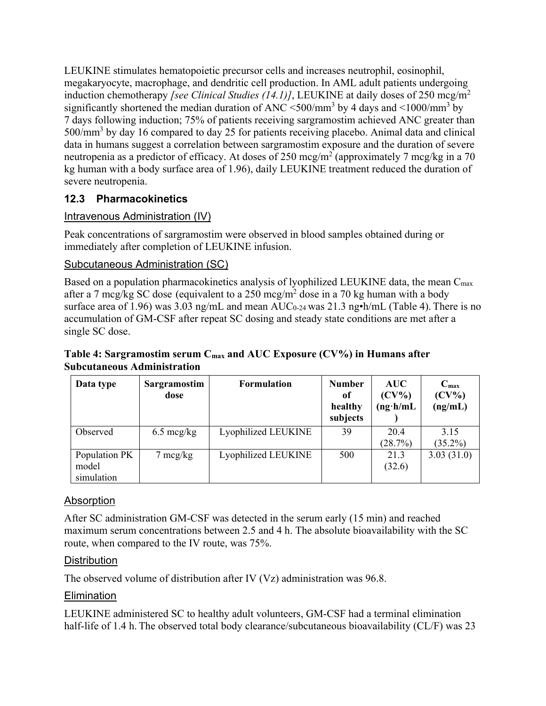LEUKINE stimulates hematopoietic precursor cells and increases neutrophil, eosinophil, megakaryocyte, macrophage, and dendritic cell production. In AML adult patients undergoing induction chemotherapy *[see Clinical Studies (14.1)]*, LEUKINE at daily doses of 250 mcg/m<sup>2</sup> significantly shortened the median duration of ANC  $\leq$ 500/mm<sup>3</sup> by 4 days and  $\leq$ 1000/mm<sup>3</sup> by 7 days following induction; 75% of patients receiving sargramostim achieved ANC greater than 500/mm<sup>3</sup> by day 16 compared to day 25 for patients receiving placebo. Animal data and clinical data in humans suggest a correlation between sargramostim exposure and the duration of severe neutropenia as a predictor of efficacy. At doses of 250 mcg/m<sup>2</sup> (approximately 7 mcg/kg in a 70 kg human with a body surface area of 1.96), daily LEUKINE treatment reduced the duration of severe neutropenia.

## **12.3 Pharmacokinetics**

### Intravenous Administration (IV)

Peak concentrations of sargramostim were observed in blood samples obtained during or immediately after completion of LEUKINE infusion.

### Subcutaneous Administration (SC)

Based on a population pharmacokinetics analysis of lyophilized LEUKINE data, the mean C<sub>max</sub> after a 7 mcg/kg SC dose (equivalent to a 250 mcg/m<sup>2</sup> dose in a 70 kg human with a body surface area of 1.96) was  $3.03$  ng/mL and mean AUC<sub>0-24</sub> was  $21.3$  ng•h/mL (Table 4). There is no accumulation of GM-CSF after repeat SC dosing and steady state conditions are met after a single SC dose.

#### **Table 4: Sargramostim serum Cmax and AUC Exposure (CV%) in Humans after Subcutaneous Administration**

| Data type                            | Sargramostim<br>dose | <b>Formulation</b>  | <b>Number</b><br>of<br>healthy<br>subjects | <b>AUC</b><br>$(CV\%)$<br>$(ng \cdot h/mL)$ | $C_{\text{max}}$<br>$(CV\%)$<br>(ng/mL) |
|--------------------------------------|----------------------|---------------------|--------------------------------------------|---------------------------------------------|-----------------------------------------|
| Observed                             | $6.5 \text{~mag/kg}$ | Lyophilized LEUKINE | 39                                         | 20.4<br>(28.7%)                             | 3.15<br>$(35.2\%)$                      |
| Population PK<br>model<br>simulation | $7 \text{~mg/kg}$    | Lyophilized LEUKINE | 500                                        | 21.3<br>(32.6)                              | 3.03(31.0)                              |

### Absorption

After SC administration GM-CSF was detected in the serum early (15 min) and reached maximum serum concentrations between 2.5 and 4 h. The absolute bioavailability with the SC route, when compared to the IV route, was 75%.

#### **Distribution**

The observed volume of distribution after IV (Vz) administration was 96.8.

### Elimination

LEUKINE administered SC to healthy adult volunteers, GM-CSF had a terminal elimination half-life of 1.4 h. The observed total body clearance/subcutaneous bioavailability (CL/F) was 23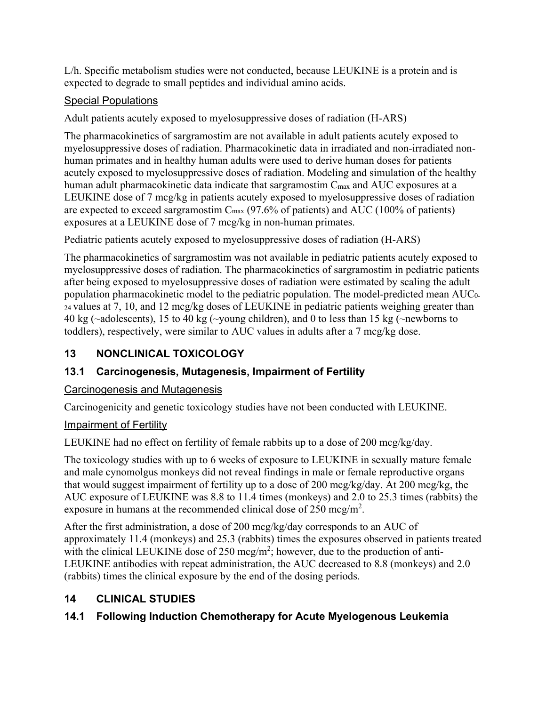L/h. Specific metabolism studies were not conducted, because LEUKINE is a protein and is expected to degrade to small peptides and individual amino acids.

## Special Populations

Adult patients acutely exposed to myelosuppressive doses of radiation (H-ARS)

The pharmacokinetics of sargramostim are not available in adult patients acutely exposed to myelosuppressive doses of radiation. Pharmacokinetic data in irradiated and non-irradiated nonhuman primates and in healthy human adults were used to derive human doses for patients acutely exposed to myelosuppressive doses of radiation. Modeling and simulation of the healthy human adult pharmacokinetic data indicate that sargramostim C<sub>max</sub> and AUC exposures at a LEUKINE dose of 7 mcg/kg in patients acutely exposed to myelosuppressive doses of radiation are expected to exceed sargramostim  $C_{\text{max}}$  (97.6% of patients) and AUC (100% of patients) exposures at a LEUKINE dose of 7 mcg/kg in non-human primates.

Pediatric patients acutely exposed to myelosuppressive doses of radiation (H-ARS)

The pharmacokinetics of sargramostim was not available in pediatric patients acutely exposed to myelosuppressive doses of radiation. The pharmacokinetics of sargramostim in pediatric patients after being exposed to myelosuppressive doses of radiation were estimated by scaling the adult population pharmacokinetic model to the pediatric population. The model-predicted mean AUC0- 24 values at 7, 10, and 12 mcg/kg doses of LEUKINE in pediatric patients weighing greater than 40 kg (~adolescents), 15 to 40 kg (~young children), and 0 to less than 15 kg (~newborns to toddlers), respectively, were similar to AUC values in adults after a 7 mcg/kg dose.

# **13 NONCLINICAL TOXICOLOGY**

# **13.1 Carcinogenesis, Mutagenesis, Impairment of Fertility**

## Carcinogenesis and Mutagenesis

Carcinogenicity and genetic toxicology studies have not been conducted with LEUKINE.

## Impairment of Fertility

LEUKINE had no effect on fertility of female rabbits up to a dose of 200 mcg/kg/day.

The toxicology studies with up to 6 weeks of exposure to LEUKINE in sexually mature female and male cynomolgus monkeys did not reveal findings in male or female reproductive organs that would suggest impairment of fertility up to a dose of 200 mcg/kg/day. At 200 mcg/kg, the AUC exposure of LEUKINE was 8.8 to 11.4 times (monkeys) and 2.0 to 25.3 times (rabbits) the exposure in humans at the recommended clinical dose of  $250 \text{~mg/m}^2$ .

After the first administration, a dose of 200 mcg/kg/day corresponds to an AUC of approximately 11.4 (monkeys) and 25.3 (rabbits) times the exposures observed in patients treated with the clinical LEUKINE dose of 250 mcg/m<sup>2</sup>; however, due to the production of anti-LEUKINE antibodies with repeat administration, the AUC decreased to 8.8 (monkeys) and 2.0 (rabbits) times the clinical exposure by the end of the dosing periods.

# **14 CLINICAL STUDIES**

# **14.1 Following Induction Chemotherapy for Acute Myelogenous Leukemia**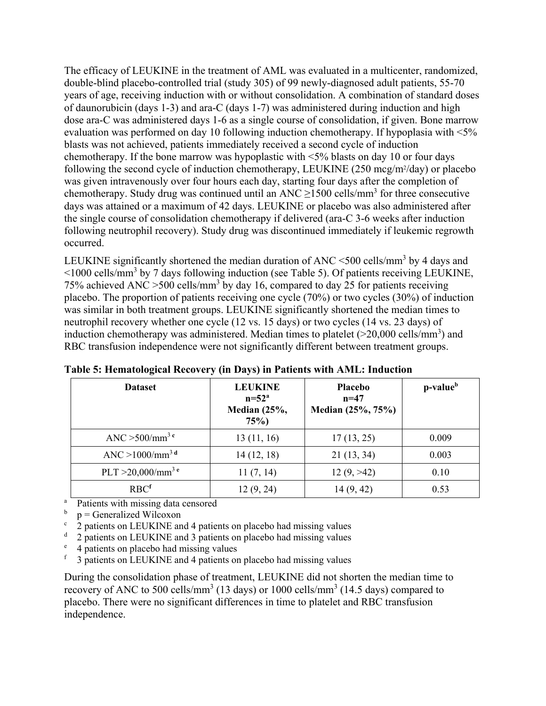The efficacy of LEUKINE in the treatment of AML was evaluated in a multicenter, randomized, double-blind placebo-controlled trial (study 305) of 99 newly-diagnosed adult patients, 55-70 years of age, receiving induction with or without consolidation. A combination of standard doses of daunorubicin (days 1-3) and ara-C (days 1-7) was administered during induction and high dose ara-C was administered days 1-6 as a single course of consolidation, if given. Bone marrow evaluation was performed on day 10 following induction chemotherapy. If hypoplasia with <5% blasts was not achieved, patients immediately received a second cycle of induction chemotherapy. If the bone marrow was hypoplastic with <5% blasts on day 10 or four days following the second cycle of induction chemotherapy, LEUKINE (250 mcg/m<sup>2</sup>/day) or placebo was given intravenously over four hours each day, starting four days after the completion of chemotherapy. Study drug was continued until an  $\text{ANC} \geq 1500 \text{ cells/mm}^3$  for three consecutive days was attained or a maximum of 42 days. LEUKINE or placebo was also administered after the single course of consolidation chemotherapy if delivered (ara-C 3-6 weeks after induction following neutrophil recovery). Study drug was discontinued immediately if leukemic regrowth occurred.

LEUKINE significantly shortened the median duration of ANC <500 cells/mm<sup>3</sup> by 4 days and  $\leq$ 1000 cells/mm<sup>3</sup> by 7 days following induction (see Table 5). Of patients receiving LEUKINE, 75% achieved ANC  $>$  500 cells/mm<sup>3</sup> by day 16, compared to day 25 for patients receiving placebo. The proportion of patients receiving one cycle (70%) or two cycles (30%) of induction was similar in both treatment groups. LEUKINE significantly shortened the median times to neutrophil recovery whether one cycle (12 vs. 15 days) or two cycles (14 vs. 23 days) of induction chemotherapy was administered. Median times to platelet  $(>20,000 \text{ cells/mm}^3)$  and RBC transfusion independence were not significantly different between treatment groups.

| <b>Dataset</b>                       | <b>LEUKINE</b><br>$n=52^a$<br>Median $(25\%,$<br>75% | <b>Placebo</b><br>$n = 47$<br>Median (25%, 75%) |       |
|--------------------------------------|------------------------------------------------------|-------------------------------------------------|-------|
| ANC $>500/mm^3$ <sup>c</sup>         | 13(11, 16)                                           | 17(13, 25)                                      | 0.009 |
| ANC $>1000/\text{mm}^3$ <sup>d</sup> | 14(12, 18)                                           | 21(13, 34)                                      | 0.003 |
| PLT >20,000/mm <sup>3 e</sup>        | 11(7, 14)                                            | 12(9, > 42)                                     | 0.10  |
| RBC <sup>f</sup>                     | 12(9, 24)                                            | 14(9, 42)                                       | 0.53  |

**Table 5: Hematological Recovery (in Days) in Patients with AML: Induction** 

a Patients with missing data censored

- b p = Generalized Wilcoxon
- $\frac{c}{2}$  patients on LEUKINE and 4 patients on placebo had missing values
- d 2 patients on LEUKINE and 3 patients on placebo had missing values
- e <sup>e</sup> 4 patients on placebo had missing values<br> $f = 3$  patients on LEUKINE and 4 patients on
- f 3 patients on LEUKINE and 4 patients on placebo had missing values

During the consolidation phase of treatment, LEUKINE did not shorten the median time to recovery of ANC to 500 cells/mm<sup>3</sup> (13 days) or 1000 cells/mm<sup>3</sup> (14.5 days) compared to placebo. There were no significant differences in time to platelet and RBC transfusion independence.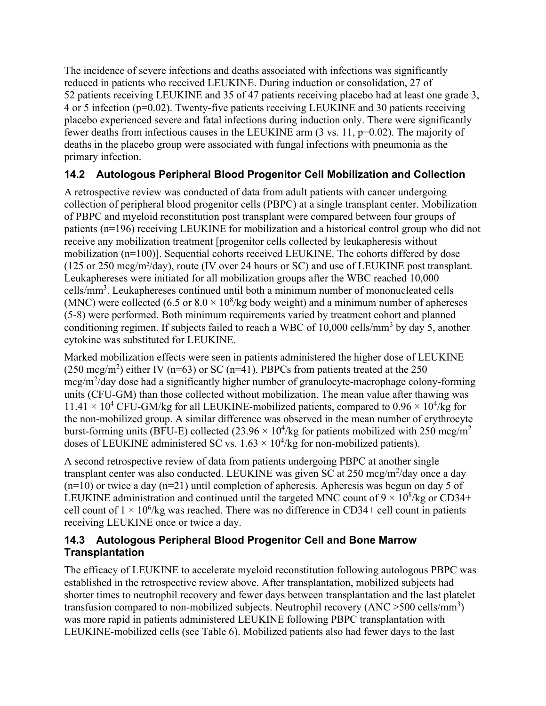The incidence of severe infections and deaths associated with infections was significantly reduced in patients who received LEUKINE. During induction or consolidation, 27 of 52 patients receiving LEUKINE and 35 of 47 patients receiving placebo had at least one grade 3, 4 or 5 infection (p=0.02). Twenty-five patients receiving LEUKINE and 30 patients receiving placebo experienced severe and fatal infections during induction only. There were significantly fewer deaths from infectious causes in the LEUKINE arm (3 vs. 11, p=0.02). The majority of deaths in the placebo group were associated with fungal infections with pneumonia as the primary infection.

### **14.2 Autologous Peripheral Blood Progenitor Cell Mobilization and Collection**

A retrospective review was conducted of data from adult patients with cancer undergoing collection of peripheral blood progenitor cells (PBPC) at a single transplant center. Mobilization of PBPC and myeloid reconstitution post transplant were compared between four groups of patients (n=196) receiving LEUKINE for mobilization and a historical control group who did not receive any mobilization treatment [progenitor cells collected by leukapheresis without mobilization (n=100)]. Sequential cohorts received LEUKINE. The cohorts differed by dose  $(125 \text{ or } 250 \text{ meg/m}^2/\text{day})$ , route (IV over 24 hours or SC) and use of LEUKINE post transplant. Leukaphereses were initiated for all mobilization groups after the WBC reached 10,000 cells/mm<sup>3</sup>. Leukaphereses continued until both a minimum number of mononucleated cells (MNC) were collected (6.5 or  $8.0 \times 10^8$ /kg body weight) and a minimum number of aphereses (5-8) were performed. Both minimum requirements varied by treatment cohort and planned conditioning regimen. If subjects failed to reach a WBC of 10,000 cells/mm<sup>3</sup> by day 5, another cytokine was substituted for LEUKINE.

Marked mobilization effects were seen in patients administered the higher dose of LEUKINE  $(250 \text{~mcg/m}^2)$  either IV (n=63) or SC (n=41). PBPCs from patients treated at the 250 mcg/m<sup>2</sup>/day dose had a significantly higher number of granulocyte-macrophage colony-forming units (CFU-GM) than those collected without mobilization. The mean value after thawing was  $11.41 \times 10^4$  CFU-GM/kg for all LEUKINE-mobilized patients, compared to  $0.96 \times 10^4$ /kg for the non-mobilized group. A similar difference was observed in the mean number of erythrocyte burst-forming units (BFU-E) collected (23.96  $\times$  10<sup>4</sup>/kg for patients mobilized with 250 mcg/m<sup>2</sup> doses of LEUKINE administered SC vs.  $1.63 \times 10^4$ /kg for non-mobilized patients).

A second retrospective review of data from patients undergoing PBPC at another single transplant center was also conducted. LEUKINE was given SC at 250 mcg/m<sup>2</sup>/day once a day  $(n=10)$  or twice a day  $(n=21)$  until completion of apheresis. Apheresis was begun on day 5 of LEUKINE administration and continued until the targeted MNC count of  $9 \times 10^8$ /kg or CD34+ cell count of  $1 \times 10^6$ /kg was reached. There was no difference in CD34+ cell count in patients receiving LEUKINE once or twice a day.

### **14.3 Autologous Peripheral Blood Progenitor Cell and Bone Marrow Transplantation**

The efficacy of LEUKINE to accelerate myeloid reconstitution following autologous PBPC was established in the retrospective review above. After transplantation, mobilized subjects had shorter times to neutrophil recovery and fewer days between transplantation and the last platelet transfusion compared to non-mobilized subjects. Neutrophil recovery  $(ANC > 500$  cells/mm<sup>3</sup>) was more rapid in patients administered LEUKINE following PBPC transplantation with LEUKINE-mobilized cells (see Table 6). Mobilized patients also had fewer days to the last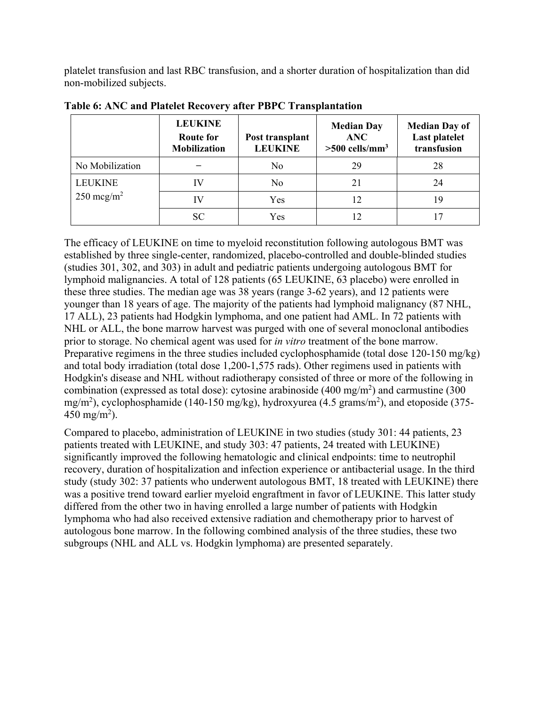platelet transfusion and last RBC transfusion, and a shorter duration of hospitalization than did non-mobilized subjects.

|                      | <b>LEUKINE</b><br><b>Route for</b><br><b>Mobilization</b> | Post transplant<br><b>LEUKINE</b> | <b>Median Day</b><br><b>ANC</b><br>$>500$ cells/mm <sup>3</sup> | <b>Median Day of</b><br>Last platelet<br>transfusion |
|----------------------|-----------------------------------------------------------|-----------------------------------|-----------------------------------------------------------------|------------------------------------------------------|
| No Mobilization      |                                                           | No                                | 29                                                              | 28                                                   |
| <b>LEUKINE</b>       |                                                           | No                                | 21                                                              | 24                                                   |
| $250 \text{~mg/m}^2$ | IV                                                        | Yes                               | 12                                                              | 19                                                   |
|                      | SC                                                        | Yes                               | 12                                                              |                                                      |

**Table 6: ANC and Platelet Recovery after PBPC Transplantation** 

The efficacy of LEUKINE on time to myeloid reconstitution following autologous BMT was established by three single-center, randomized, placebo-controlled and double-blinded studies (studies 301, 302, and 303) in adult and pediatric patients undergoing autologous BMT for lymphoid malignancies. A total of 128 patients (65 LEUKINE, 63 placebo) were enrolled in these three studies. The median age was 38 years (range 3-62 years), and 12 patients were younger than 18 years of age. The majority of the patients had lymphoid malignancy (87 NHL, 17 ALL), 23 patients had Hodgkin lymphoma, and one patient had AML. In 72 patients with NHL or ALL, the bone marrow harvest was purged with one of several monoclonal antibodies prior to storage. No chemical agent was used for *in vitro* treatment of the bone marrow. Preparative regimens in the three studies included cyclophosphamide (total dose 120-150 mg/kg) and total body irradiation (total dose 1,200-1,575 rads). Other regimens used in patients with Hodgkin's disease and NHL without radiotherapy consisted of three or more of the following in combination (expressed as total dose): cytosine arabinoside  $(400 \text{ mg/m}^2)$  and carmustine  $(300 \text{ g/m}^2)$ mg/m<sup>2</sup>), cyclophosphamide (140-150 mg/kg), hydroxyurea (4.5 grams/m<sup>2</sup>), and etoposide (375- $450 \text{ mg/m}^2$ ).

Compared to placebo, administration of LEUKINE in two studies (study 301: 44 patients, 23 patients treated with LEUKINE, and study 303: 47 patients, 24 treated with LEUKINE) significantly improved the following hematologic and clinical endpoints: time to neutrophil recovery, duration of hospitalization and infection experience or antibacterial usage. In the third study (study 302: 37 patients who underwent autologous BMT, 18 treated with LEUKINE) there was a positive trend toward earlier myeloid engraftment in favor of LEUKINE. This latter study differed from the other two in having enrolled a large number of patients with Hodgkin lymphoma who had also received extensive radiation and chemotherapy prior to harvest of autologous bone marrow. In the following combined analysis of the three studies, these two subgroups (NHL and ALL vs. Hodgkin lymphoma) are presented separately.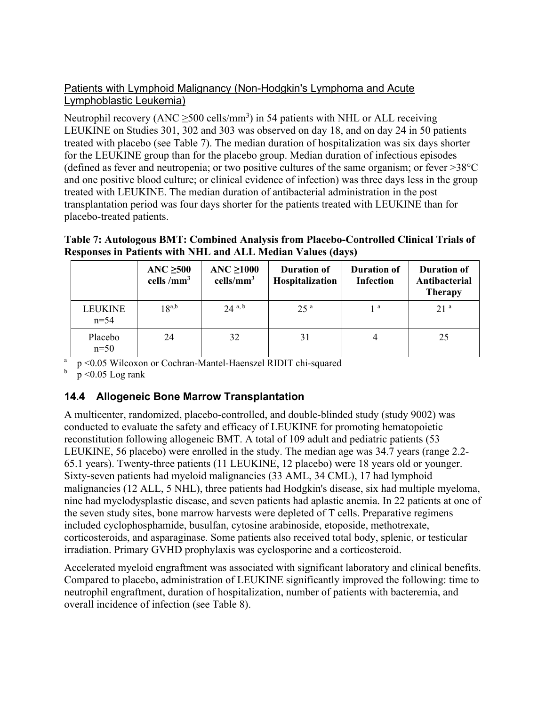### Patients with Lymphoid Malignancy (Non-Hodgkin's Lymphoma and Acute Lymphoblastic Leukemia)

Neutrophil recovery (ANC  $\geq$ 500 cells/mm<sup>3</sup>) in 54 patients with NHL or ALL receiving LEUKINE on Studies 301, 302 and 303 was observed on day 18, and on day 24 in 50 patients treated with placebo (see Table 7). The median duration of hospitalization was six days shorter for the LEUKINE group than for the placebo group. Median duration of infectious episodes (defined as fever and neutropenia; or two positive cultures of the same organism; or fever  $>38^{\circ}$ C and one positive blood culture; or clinical evidence of infection) was three days less in the group treated with LEUKINE. The median duration of antibacterial administration in the post transplantation period was four days shorter for the patients treated with LEUKINE than for placebo-treated patients.

**Table 7: Autologous BMT: Combined Analysis from Placebo-Controlled Clinical Trials of Responses in Patients with NHL and ALL Median Values (days)** 

|                     | ANC $\geq 500$<br>cells / $mm3$ | ANC $\geq 1000$<br>cells/mm <sup>3</sup> | <b>Duration of</b><br>Hospitalization | <b>Duration of</b><br><b>Infection</b> | <b>Duration of</b><br>Antibacterial<br><b>Therapy</b> |
|---------------------|---------------------------------|------------------------------------------|---------------------------------------|----------------------------------------|-------------------------------------------------------|
| LEUKINE<br>$n = 54$ | $18^{a,b}$                      | $24^{a, b}$                              | 25 <sup>a</sup>                       | 1 <sup>a</sup>                         | 21 <sup>a</sup>                                       |
| Placebo<br>$n=50$   | 24                              | 32                                       | 31                                    |                                        | 25                                                    |

a p <0.05 Wilcoxon or Cochran-Mantel-Haenszel RIDIT chi-squared

 $p < 0.05$  Log rank

## **14.4 Allogeneic Bone Marrow Transplantation**

A multicenter, randomized, placebo-controlled, and double-blinded study (study 9002) was conducted to evaluate the safety and efficacy of LEUKINE for promoting hematopoietic reconstitution following allogeneic BMT. A total of 109 adult and pediatric patients (53 LEUKINE, 56 placebo) were enrolled in the study. The median age was 34.7 years (range 2.2- 65.1 years). Twenty-three patients (11 LEUKINE, 12 placebo) were 18 years old or younger. Sixty-seven patients had myeloid malignancies (33 AML, 34 CML), 17 had lymphoid malignancies (12 ALL, 5 NHL), three patients had Hodgkin's disease, six had multiple myeloma, nine had myelodysplastic disease, and seven patients had aplastic anemia. In 22 patients at one of the seven study sites, bone marrow harvests were depleted of T cells. Preparative regimens included cyclophosphamide, busulfan, cytosine arabinoside, etoposide, methotrexate, corticosteroids, and asparaginase. Some patients also received total body, splenic, or testicular irradiation. Primary GVHD prophylaxis was cyclosporine and a corticosteroid.

Accelerated myeloid engraftment was associated with significant laboratory and clinical benefits. Compared to placebo, administration of LEUKINE significantly improved the following: time to neutrophil engraftment, duration of hospitalization, number of patients with bacteremia, and overall incidence of infection (see Table 8).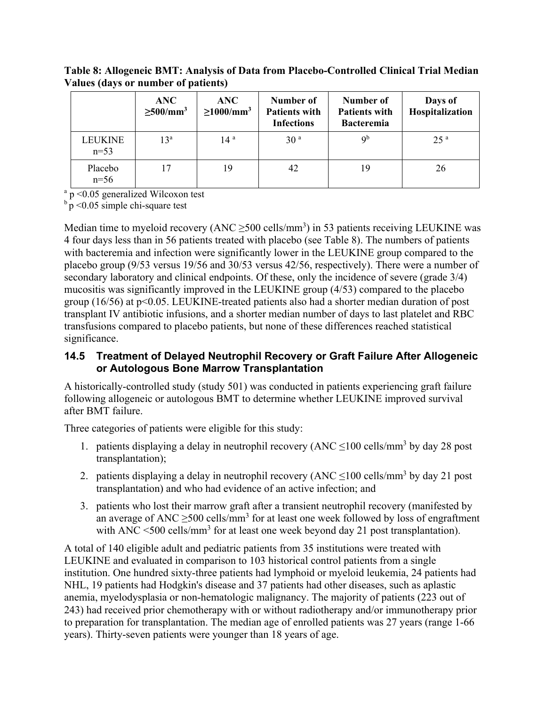**Table 8: Allogeneic BMT: Analysis of Data from Placebo-Controlled Clinical Trial Median Values (days or number of patients)** 

|                          | <b>ANC</b><br>$\geq 500/mm^3$ | <b>ANC</b><br>$\geq$ 1000/mm <sup>3</sup> | Number of<br><b>Patients with</b><br><b>Infections</b> | Number of<br><b>Patients with</b><br><b>Bacteremia</b> | Days of<br>Hospitalization |
|--------------------------|-------------------------------|-------------------------------------------|--------------------------------------------------------|--------------------------------------------------------|----------------------------|
| <b>LEUKINE</b><br>$n=53$ | $13^{\rm a}$                  | 14 <sup>a</sup>                           | 30 <sup>a</sup>                                        | $\mathsf{Q}^{\mathsf{b}}$                              | 25 <sup>a</sup>            |
| Placebo<br>$n=56$        | 17                            | 19                                        | 42                                                     | 19                                                     | 26                         |

a p <0.05 generalized Wilcoxon test

 $b$  p < 0.05 simple chi-square test

Median time to myeloid recovery (ANC  $\geq$ 500 cells/mm<sup>3</sup>) in 53 patients receiving LEUKINE was 4 four days less than in 56 patients treated with placebo (see Table 8). The numbers of patients with bacteremia and infection were significantly lower in the LEUKINE group compared to the placebo group (9/53 versus 19/56 and 30/53 versus 42/56, respectively). There were a number of secondary laboratory and clinical endpoints. Of these, only the incidence of severe (grade 3/4) mucositis was significantly improved in the LEUKINE group (4/53) compared to the placebo group (16/56) at p<0.05. LEUKINE-treated patients also had a shorter median duration of post transplant IV antibiotic infusions, and a shorter median number of days to last platelet and RBC transfusions compared to placebo patients, but none of these differences reached statistical significance.

#### **14.5 Treatment of Delayed Neutrophil Recovery or Graft Failure After Allogeneic or Autologous Bone Marrow Transplantation**

A historically-controlled study (study 501) was conducted in patients experiencing graft failure following allogeneic or autologous BMT to determine whether LEUKINE improved survival after BMT failure.

Three categories of patients were eligible for this study:

- 1. patients displaying a delay in neutrophil recovery (ANC  $\leq$ 100 cells/mm<sup>3</sup> by day 28 post transplantation);
- 2. patients displaying a delay in neutrophil recovery (ANC  $\leq$ 100 cells/mm<sup>3</sup> by day 21 post transplantation) and who had evidence of an active infection; and
- 3. patients who lost their marrow graft after a transient neutrophil recovery (manifested by an average of ANC  $\geq$ 500 cells/mm<sup>3</sup> for at least one week followed by loss of engraftment with ANC  $\leq$ 500 cells/mm<sup>3</sup> for at least one week beyond day 21 post transplantation).

A total of 140 eligible adult and pediatric patients from 35 institutions were treated with LEUKINE and evaluated in comparison to 103 historical control patients from a single institution. One hundred sixty-three patients had lymphoid or myeloid leukemia, 24 patients had NHL, 19 patients had Hodgkin's disease and 37 patients had other diseases, such as aplastic anemia, myelodysplasia or non-hematologic malignancy. The majority of patients (223 out of 243) had received prior chemotherapy with or without radiotherapy and/or immunotherapy prior to preparation for transplantation. The median age of enrolled patients was 27 years (range 1-66 years). Thirty-seven patients were younger than 18 years of age.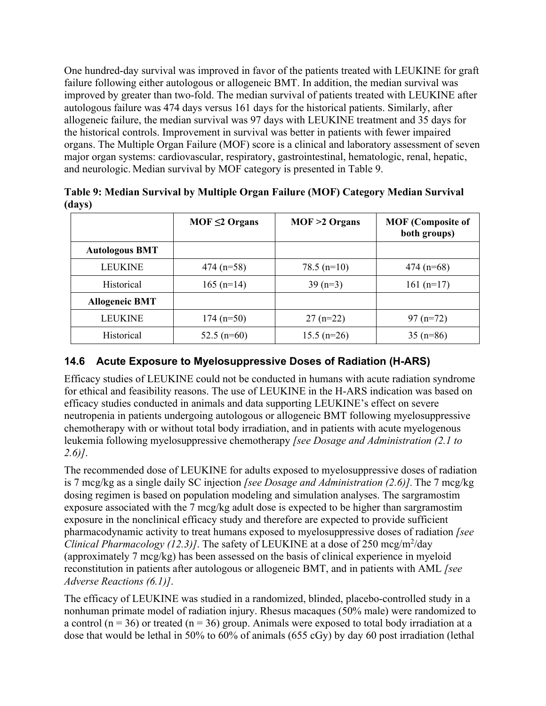One hundred-day survival was improved in favor of the patients treated with LEUKINE for graft failure following either autologous or allogeneic BMT. In addition, the median survival was improved by greater than two-fold. The median survival of patients treated with LEUKINE after autologous failure was 474 days versus 161 days for the historical patients. Similarly, after allogeneic failure, the median survival was 97 days with LEUKINE treatment and 35 days for the historical controls. Improvement in survival was better in patients with fewer impaired organs. The Multiple Organ Failure (MOF) score is a clinical and laboratory assessment of seven major organ systems: cardiovascular, respiratory, gastrointestinal, hematologic, renal, hepatic, and neurologic. Median survival by MOF category is presented in Table 9.

| $\sim$ $\sim$ $\sim$ $\sim$ |                     |                  |                                          |
|-----------------------------|---------------------|------------------|------------------------------------------|
|                             | $MOF \leq 2$ Organs | $MOF > 2$ Organs | <b>MOF</b> (Composite of<br>both groups) |
| <b>Autologous BMT</b>       |                     |                  |                                          |
| <b>LEUKINE</b>              | $474 (n=58)$        | $78.5$ (n=10)    | $474(n=68)$                              |
| Historical                  | $165$ (n=14)        | $39(n=3)$        | 161 $(n=17)$                             |
| <b>Allogeneic BMT</b>       |                     |                  |                                          |
| <b>LEUKINE</b>              | $174(n=50)$         | $27(n=22)$       | $97 (n=72)$                              |
| Historical                  | $52.5$ (n=60)       | $15.5$ (n=26)    | $35(n=86)$                               |

**Table 9: Median Survival by Multiple Organ Failure (MOF) Category Median Survival (days)** 

## **14.6 Acute Exposure to Myelosuppressive Doses of Radiation (H-ARS)**

Efficacy studies of LEUKINE could not be conducted in humans with acute radiation syndrome for ethical and feasibility reasons. The use of LEUKINE in the H-ARS indication was based on efficacy studies conducted in animals and data supporting LEUKINE's effect on severe neutropenia in patients undergoing autologous or allogeneic BMT following myelosuppressive chemotherapy with or without total body irradiation, and in patients with acute myelogenous leukemia following myelosuppressive chemotherapy *[see Dosage and Administration (2.1 to 2.6)]*.

The recommended dose of LEUKINE for adults exposed to myelosuppressive doses of radiation is 7 mcg/kg as a single daily SC injection *[see Dosage and Administration (2.6)].* The 7 mcg/kg dosing regimen is based on population modeling and simulation analyses. The sargramostim exposure associated with the 7 mcg/kg adult dose is expected to be higher than sargramostim exposure in the nonclinical efficacy study and therefore are expected to provide sufficient pharmacodynamic activity to treat humans exposed to myelosuppressive doses of radiation *[see Clinical Pharmacology (12.3)]*. The safety of LEUKINE at a dose of 250 mcg/m<sup>2</sup>/day (approximately 7 mcg/kg) has been assessed on the basis of clinical experience in myeloid reconstitution in patients after autologous or allogeneic BMT, and in patients with AML *[see Adverse Reactions (6.1)]*.

The efficacy of LEUKINE was studied in a randomized, blinded, placebo-controlled study in a nonhuman primate model of radiation injury. Rhesus macaques (50% male) were randomized to a control ( $n = 36$ ) or treated ( $n = 36$ ) group. Animals were exposed to total body irradiation at a dose that would be lethal in 50% to 60% of animals (655 cGy) by day 60 post irradiation (lethal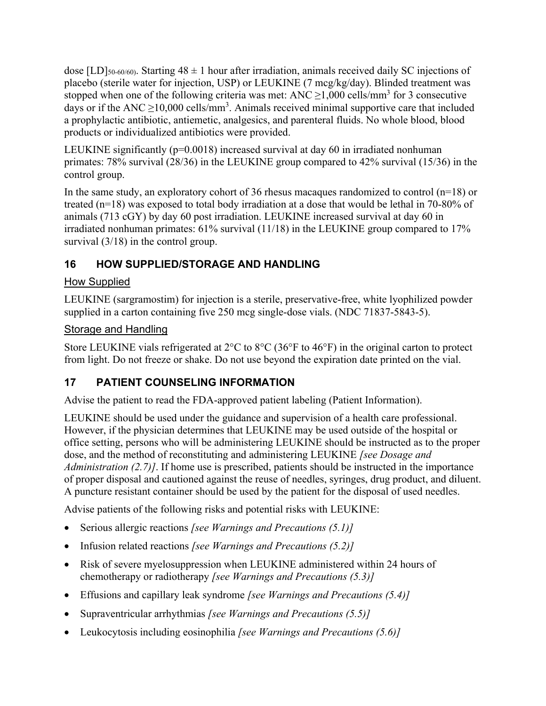dose [LD]<sub>50-60/60)</sub>. Starting  $48 \pm 1$  hour after irradiation, animals received daily SC injections of placebo (sterile water for injection, USP) or LEUKINE (7 mcg/kg/day). Blinded treatment was stopped when one of the following criteria was met: ANC  $\geq$ 1,000 cells/mm<sup>3</sup> for 3 consecutive days or if the ANC  $\geq$ 10,000 cells/mm<sup>3</sup>. Animals received minimal supportive care that included a prophylactic antibiotic, antiemetic, analgesics, and parenteral fluids. No whole blood, blood products or individualized antibiotics were provided.

LEUKINE significantly ( $p=0.0018$ ) increased survival at day 60 in irradiated nonhuman primates: 78% survival (28/36) in the LEUKINE group compared to 42% survival (15/36) in the control group.

In the same study, an exploratory cohort of 36 rhesus macaques randomized to control  $(n=18)$  or treated (n=18) was exposed to total body irradiation at a dose that would be lethal in 70-80% of animals (713 cGY) by day 60 post irradiation. LEUKINE increased survival at day 60 in irradiated nonhuman primates: 61% survival (11/18) in the LEUKINE group compared to 17% survival  $(3/18)$  in the control group.

## **16 HOW SUPPLIED/STORAGE AND HANDLING**

### How Supplied

LEUKINE (sargramostim) for injection is a sterile, preservative-free, white lyophilized powder supplied in a carton containing five 250 mcg single-dose vials. (NDC 71837-5843-5).

### Storage and Handling

Store LEUKINE vials refrigerated at 2°C to 8°C (36°F to 46°F) in the original carton to protect from light. Do not freeze or shake. Do not use beyond the expiration date printed on the vial.

## **17 PATIENT COUNSELING INFORMATION**

Advise the patient to read the FDA-approved patient labeling (Patient Information).

LEUKINE should be used under the guidance and supervision of a health care professional. However, if the physician determines that LEUKINE may be used outside of the hospital or office setting, persons who will be administering LEUKINE should be instructed as to the proper dose, and the method of reconstituting and administering LEUKINE *[see Dosage and Administration (2.7)]*. If home use is prescribed, patients should be instructed in the importance of proper disposal and cautioned against the reuse of needles, syringes, drug product, and diluent. A puncture resistant container should be used by the patient for the disposal of used needles.

Advise patients of the following risks and potential risks with LEUKINE:

- Serious allergic reactions *[see Warnings and Precautions (5.1)]*
- Infusion related reactions *[see Warnings and Precautions (5.2)]*
- Risk of severe myelosuppression when LEUKINE administered within 24 hours of chemotherapy or radiotherapy *[see Warnings and Precautions (5.3)]*
- Effusions and capillary leak syndrome *[see Warnings and Precautions (5.4)]*
- Supraventricular arrhythmias *[see Warnings and Precautions (5.5)]*
- Leukocytosis including eosinophilia *[see Warnings and Precautions (5.6)]*